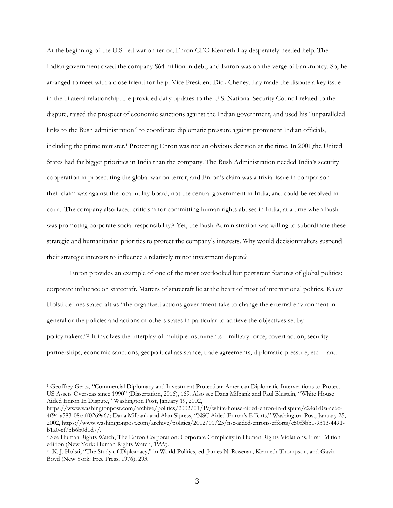At the beginning of the U.S.-led war on terror, Enron CEO Kenneth Lay desperately needed help. The Indian government owed the company \$64 million in debt, and Enron was on the verge of bankruptcy. So, he arranged to meet with a close friend for help: Vice President Dick Cheney. Lay made the dispute a key issue in the bilateral relationship. He provided daily updates to the U.S. National Security Council related to the dispute, raised the prospect of economic sanctions against the Indian government, and used his "unparalleled links to the Bush administration" to coordinate diplomatic pressure against prominent Indian officials, including the prime minister.1 Protecting Enron was not an obvious decision at the time. In 2001,the United States had far bigger priorities in India than the company. The Bush Administration needed India's security cooperation in prosecuting the global war on terror, and Enron's claim was a trivial issue in comparison their claim was against the local utility board, not the central government in India, and could be resolved in court. The company also faced criticism for committing human rights abuses in India, at a time when Bush was promoting corporate social responsibility.<sup>2</sup> Yet, the Bush Administration was willing to subordinate these strategic and humanitarian priorities to protect the company's interests. Why would decisionmakers suspend their strategic interests to influence a relatively minor investment dispute?

Enron provides an example of one of the most overlooked but persistent features of global politics: corporate influence on statecraft. Matters of statecraft lie at the heart of most of international politics. Kalevi Holsti defines statecraft as "the organized actions government take to change the external environment in general or the policies and actions of others states in particular to achieve the objectives set by policymakers."3 It involves the interplay of multiple instruments—military force, covert action, security partnerships, economic sanctions, geopolitical assistance, trade agreements, diplomatic pressure, etc.—and

<sup>1</sup> Geoffrey Gertz, "Commercial Diplomacy and Investment Protection: American Diplomatic Interventions to Protect US Assets Overseas since 1990" (Dissertation, 2016), 169. Also see Dana Milbank and Paul Blustein, "White House Aided Enron In Dispute," Washington Post, January 19, 2002,

https://www.washingtonpost.com/archive/politics/2002/01/19/white-house-aided-enron-in-dispute/c24a1d0a-ae6c-4f94-a583-08caff0269a6/; Dana Milbank and Alan Sipress, "NSC Aided Enron's Efforts," Washington Post, January 25, 2002, https://www.washingtonpost.com/archive/politics/2002/01/25/nsc-aided-enrons-efforts/c50f3bb0-9313-4491 b1a0-cf7bb6b0d1d7/.

<sup>2</sup> See Human Rights Watch, The Enron Corporation: Corporate Complicity in Human Rights Violations, First Edition edition (New York: Human Rights Watch, 1999).

<sup>3</sup> K. J. Holsti, "The Study of Diplomacy," in World Politics, ed. James N. Rosenau, Kenneth Thompson, and Gavin Boyd (New York: Free Press, 1976), 293.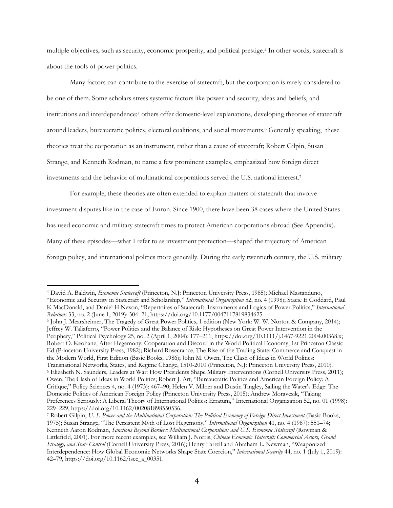multiple objectives, such as security, economic prosperity, and political prestige.4 In other words, statecraft is about the tools of power politics.

Many factors can contribute to the exercise of statecraft, but the corporation is rarely considered to be one of them. Some scholars stress systemic factors like power and security, ideas and beliefs, and institutions and interdependence;5 others offer domestic-level explanations, developing theories of statecraft around leaders, bureaucratic politics, electoral coalitions, and social movements.6 Generally speaking, these theories treat the corporation as an instrument, rather than a cause of statecraft; Robert Gilpin, Susan Strange, and Kenneth Rodman, to name a few prominent examples, emphasized how foreign direct investments and the behavior of multinational corporations served the U.S. national interest.7

For example, these theories are often extended to explain matters of statecraft that involve investment disputes like in the case of Enron. Since 1900, there have been 38 cases where the United States has used economic and military statecraft times to protect American corporations abroad (See Appendix). Many of these episodes—what I refer to as investment protection—shaped the trajectory of American foreign policy, and international politics more generally. During the early twentieth century, the U.S. military

<sup>5</sup> John J. Mearsheimer, The Tragedy of Great Power Politics, 1 edition (New York: W. W. Norton & Company, 2014); Jeffrey W. Taliaferro, "Power Politics and the Balance of Risk: Hypotheses on Great Power Intervention in the Periphery," Political Psychology 25, no. 2 (April 1, 2004): 177–211, https://doi.org/10.1111/j.1467-9221.2004.00368.x; Robert O. Keohane, After Hegemony: Cooperation and Discord in the World Political Economy, 1st Princeton Classic Ed (Princeton University Press, 1982); Richard Rosecrance, The Rise of the Trading State: Commerce and Conquest in the Modern World, First Edition (Basic Books, 1986); John M. Owen, The Clash of Ideas in World Politics: Transnational Networks, States, and Regime Change, 1510-2010 (Princeton, N.J: Princeton University Press, 2010). <sup>6</sup> Elizabeth N. Saunders, Leaders at War: How Presidents Shape Military Interventions (Cornell University Press, 2011); Owen, The Clash of Ideas in World Politics; Robert J. Art, "Bureaucratic Politics and American Foreign Policy: A Critique," Policy Sciences 4, no. 4 (1973): 467–90; Helen V. Milner and Dustin Tingley, Sailing the Water's Edge: The Domestic Politics of American Foreign Policy (Princeton University Press, 2015); Andrew Moravcsik, "Taking Preferences Seriously: A Liberal Theory of International Politics: Erratum," International Organization 52, no. 01 (1998): 229–229, https://doi.org/10.1162/002081898550536.

<sup>4</sup> David A. Baldwin, *Economic Statecraft* (Princeton, N.J: Princeton University Press, 1985); Michael Mastanduno, "Economic and Security in Statecraft and Scholarship," *International Organization* 52, no. 4 (1998); Stacie E Goddard, Paul K MacDonald, and Daniel H Nexon, "Repertoires of Statecraft: Instruments and Logics of Power Politics," *International Relations* 33, no. 2 (June 1, 2019): 304–21, https://doi.org/10.1177/0047117819834625.

<sup>7</sup> Robert Gilpin, *U. S. Power and the Multinational Corporation: The Political Economy of Foreign Direct Investment* (Basic Books, 1975); Susan Strange, "The Persistent Myth of Lost Hegemony," *International Organization* 41, no. 4 (1987): 551–74; Kenneth Aaron Rodman, *Sanctions Beyond Borders: Multinational Corporations and U.S. Economic Statecraft* (Rowman & Littlefield, 2001). For more recent examples, see William J. Norris, *Chinese Economic Statecraft: Commercial Actors, Grand Strategy, and State Control* (Cornell University Press, 2016); Henry Farrell and Abraham L. Newman, "Weaponized Interdependence: How Global Economic Networks Shape State Coercion," *International Security* 44, no. 1 (July 1, 2019): 42–79, https://doi.org/10.1162/isec\_a\_00351.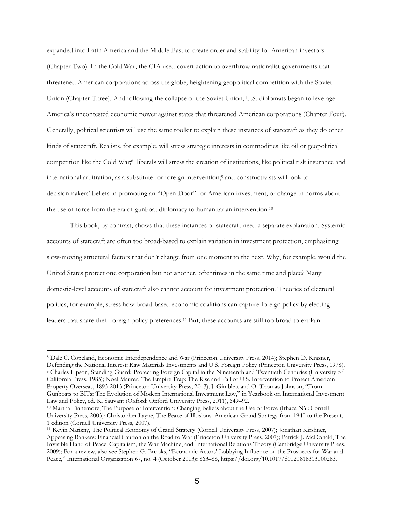expanded into Latin America and the Middle East to create order and stability for American investors (Chapter Two). In the Cold War, the CIA used covert action to overthrow nationalist governments that threatened American corporations across the globe, heightening geopolitical competition with the Soviet Union (Chapter Three). And following the collapse of the Soviet Union, U.S. diplomats began to leverage America's uncontested economic power against states that threatened American corporations (Chapter Four). Generally, political scientists will use the same toolkit to explain these instances of statecraft as they do other kinds of statecraft. Realists, for example, will stress strategic interests in commodities like oil or geopolitical competition like the Cold War;8 liberals will stress the creation of institutions, like political risk insurance and international arbitration, as a substitute for foreign intervention;9 and constructivists will look to decisionmakers' beliefs in promoting an "Open Door" for American investment, or change in norms about the use of force from the era of gunboat diplomacy to humanitarian intervention.<sup>10</sup>

This book, by contrast, shows that these instances of statecraft need a separate explanation. Systemic accounts of statecraft are often too broad-based to explain variation in investment protection, emphasizing slow-moving structural factors that don't change from one moment to the next. Why, for example, would the United States protect one corporation but not another, oftentimes in the same time and place? Many domestic-level accounts of statecraft also cannot account for investment protection. Theories of electoral politics, for example, stress how broad-based economic coalitions can capture foreign policy by electing leaders that share their foreign policy preferences.11 But, these accounts are still too broad to explain

<sup>8</sup> Dale C. Copeland, Economic Interdependence and War (Princeton University Press, 2014); Stephen D. Krasner, Defending the National Interest: Raw Materials Investments and U.S. Foreign Policy (Princeton University Press, 1978). <sup>9</sup> Charles Lipson, Standing Guard: Protecting Foreign Capital in the Nineteenth and Twentieth Centuries (University of California Press, 1985); Noel Maurer, The Empire Trap: The Rise and Fall of U.S. Intervention to Protect American Property Overseas, 1893-2013 (Princeton University Press, 2013); J. Gimblett and O. Thomas Johnson, "From Gunboats to BITs: The Evolution of Modern International Investment Law," in Yearbook on International Investment Law and Policy, ed. K. Sauvant (Oxford: Oxford University Press, 2011), 649–92.

<sup>10</sup> Martha Finnemore, The Purpose of Intervention: Changing Beliefs about the Use of Force (Ithaca NY: Cornell University Press, 2003); Christopher Layne, The Peace of Illusions: American Grand Strategy from 1940 to the Present, 1 edition (Cornell University Press, 2007).

<sup>11</sup> Kevin Narizny, The Political Economy of Grand Strategy (Cornell University Press, 2007); Jonathan Kirshner, Appeasing Bankers: Financial Caution on the Road to War (Princeton University Press, 2007); Patrick J. McDonald, The Invisible Hand of Peace: Capitalism, the War Machine, and International Relations Theory (Cambridge University Press, 2009); For a review, also see Stephen G. Brooks, "Economic Actors' Lobbying Influence on the Prospects for War and Peace," International Organization 67, no. 4 (October 2013): 863–88, https://doi.org/10.1017/S0020818313000283.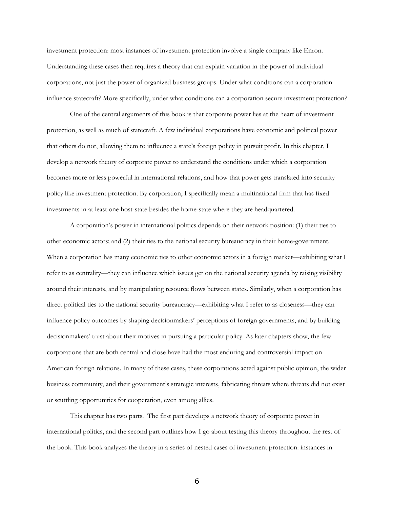investment protection: most instances of investment protection involve a single company like Enron. Understanding these cases then requires a theory that can explain variation in the power of individual corporations, not just the power of organized business groups. Under what conditions can a corporation influence statecraft? More specifically, under what conditions can a corporation secure investment protection?

One of the central arguments of this book is that corporate power lies at the heart of investment protection, as well as much of statecraft. A few individual corporations have economic and political power that others do not, allowing them to influence a state's foreign policy in pursuit profit. In this chapter, I develop a network theory of corporate power to understand the conditions under which a corporation becomes more or less powerful in international relations, and how that power gets translated into security policy like investment protection. By corporation, I specifically mean a multinational firm that has fixed investments in at least one host-state besides the home-state where they are headquartered.

A corporation's power in international politics depends on their network position: (1) their ties to other economic actors; and (2) their ties to the national security bureaucracy in their home-government. When a corporation has many economic ties to other economic actors in a foreign market—exhibiting what I refer to as centrality—they can influence which issues get on the national security agenda by raising visibility around their interests, and by manipulating resource flows between states. Similarly, when a corporation has direct political ties to the national security bureaucracy—exhibiting what I refer to as closeness—they can influence policy outcomes by shaping decisionmakers' perceptions of foreign governments, and by building decisionmakers' trust about their motives in pursuing a particular policy. As later chapters show, the few corporations that are both central and close have had the most enduring and controversial impact on American foreign relations. In many of these cases, these corporations acted against public opinion, the wider business community, and their government's strategic interests, fabricating threats where threats did not exist or scuttling opportunities for cooperation, even among allies.

This chapter has two parts. The first part develops a network theory of corporate power in international politics, and the second part outlines how I go about testing this theory throughout the rest of the book. This book analyzes the theory in a series of nested cases of investment protection: instances in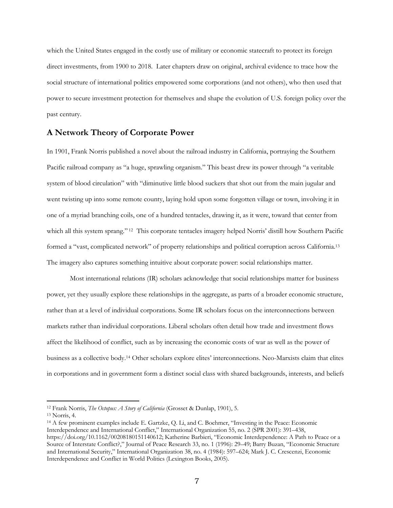which the United States engaged in the costly use of military or economic statecraft to protect its foreign direct investments, from 1900 to 2018. Later chapters draw on original, archival evidence to trace how the social structure of international politics empowered some corporations (and not others), who then used that power to secure investment protection for themselves and shape the evolution of U.S. foreign policy over the past century.

# **A Network Theory of Corporate Power**

In 1901, Frank Norris published a novel about the railroad industry in California, portraying the Southern Pacific railroad company as "a huge, sprawling organism." This beast drew its power through "a veritable system of blood circulation" with "diminutive little blood suckers that shot out from the main jugular and went twisting up into some remote county, laying hold upon some forgotten village or town, involving it in one of a myriad branching coils, one of a hundred tentacles, drawing it, as it were, toward that center from which all this system sprang." <sup>12</sup> This corporate tentacles imagery helped Norris' distill how Southern Pacific formed a "vast, complicated network" of property relationships and political corruption across California.13 The imagery also captures something intuitive about corporate power: social relationships matter.

Most international relations (IR) scholars acknowledge that social relationships matter for business power, yet they usually explore these relationships in the aggregate, as parts of a broader economic structure, rather than at a level of individual corporations. Some IR scholars focus on the interconnections between markets rather than individual corporations. Liberal scholars often detail how trade and investment flows affect the likelihood of conflict, such as by increasing the economic costs of war as well as the power of business as a collective body.14 Other scholars explore elites' interconnections. Neo-Marxists claim that elites in corporations and in government form a distinct social class with shared backgrounds, interests, and beliefs

<sup>12</sup> Frank Norris, *The Octopus: A Story of California* (Grosset & Dunlap, 1901), 5.

<sup>13</sup> Norris, 4.

<sup>14</sup> A few prominent examples include E. Gartzke, Q. Li, and C. Boehmer, "Investing in the Peace: Economic Interdependence and International Conflict," International Organization 55, no. 2 (SPR 2001): 391–438, https://doi.org/10.1162/00208180151140612; Katherine Barbieri, "Economic Interdependence: A Path to Peace or a Source of Interstate Conflict?," Journal of Peace Research 33, no. 1 (1996): 29–49; Barry Buzan, "Economic Structure and International Security," International Organization 38, no. 4 (1984): 597–624; Mark J. C. Crescenzi, Economic Interdependence and Conflict in World Politics (Lexington Books, 2005).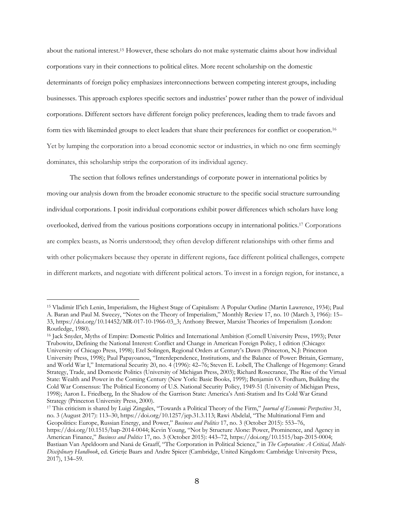about the national interest.15 However, these scholars do not make systematic claims about how individual corporations vary in their connections to political elites. More recent scholarship on the domestic determinants of foreign policy emphasizes interconnections between competing interest groups, including businesses. This approach explores specific sectors and industries' power rather than the power of individual corporations. Different sectors have different foreign policy preferences, leading them to trade favors and form ties with likeminded groups to elect leaders that share their preferences for conflict or cooperation.16 Yet by lumping the corporation into a broad economic sector or industries, in which no one firm seemingly dominates, this scholarship strips the corporation of its individual agency.

The section that follows refines understandings of corporate power in international politics by moving our analysis down from the broader economic structure to the specific social structure surrounding individual corporations. I posit individual corporations exhibit power differences which scholars have long overlooked, derived from the various positions corporations occupy in international politics. <sup>17</sup> Corporations are complex beasts, as Norris understood; they often develop different relationships with other firms and with other policymakers because they operate in different regions, face different political challenges, compete in different markets, and negotiate with different political actors. To invest in a foreign region, for instance, a

<sup>17</sup> This criticism is shared by Luigi Zingales, "Towards a Political Theory of the Firm," *Journal of Economic Perspectives* 31, no. 3 (August 2017): 113–30, https://doi.org/10.1257/jep.31.3.113; Rawi Abdelal, "The Multinational Firm and Geopolitics: Europe, Russian Energy, and Power," *Business and Politics* 17, no. 3 (October 2015): 553–76, https://doi.org/10.1515/bap-2014-0044; Kevin Young, "Not by Structure Alone: Power, Prominence, and Agency in American Finance," *Business and Politics* 17, no. 3 (October 2015): 443–72, https://doi.org/10.1515/bap-2015-0004; Bastiaan Van Apeldoorn and Naná de Graaff, "The Corporation in Political Science," in *The Corporation: A Critical, Multi-Disciplinary Handbook*, ed. Grietje Baars and Andre Spicer (Cambridge, United Kingdom: Cambridge University Press, 2017), 134–59.

<sup>&</sup>lt;sup>15</sup> Vladimir Il'ich Lenin, Imperialism, the Highest Stage of Capitalism: A Popular Outline (Martin Lawrence, 1934); Paul A. Baran and Paul M. Sweezy, "Notes on the Theory of Imperialism," Monthly Review 17, no. 10 (March 3, 1966): 15– 33, https://doi.org/10.14452/MR-017-10-1966-03\_3; Anthony Brewer, Marxist Theories of Imperialism (London: Routledge, 1980).

<sup>16</sup> Jack Snyder, Myths of Empire: Domestic Politics and International Ambition (Cornell University Press, 1993); Peter Trubowitz, Defining the National Interest: Conflict and Change in American Foreign Policy, 1 edition (Chicago: University of Chicago Press, 1998); Etel Solingen, Regional Orders at Century's Dawn (Princeton, N.J: Princeton University Press, 1998); Paul Papayoanou, "Interdependence, Institutions, and the Balance of Power: Britain, Germany, and World War I," International Security 20, no. 4 (1996): 42–76; Steven E. Lobell, The Challenge of Hegemony: Grand Strategy, Trade, and Domestic Politics (University of Michigan Press, 2003); Richard Rosecrance, The Rise of the Virtual State: Wealth and Power in the Coming Century (New York: Basic Books, 1999); Benjamin O. Fordham, Building the Cold War Consensus: The Political Economy of U.S. National Security Policy, 1949-51 (University of Michigan Press, 1998); Aaron L. Friedberg, In the Shadow of the Garrison State: America's Anti-Statism and Its Cold War Grand Strategy (Princeton University Press, 2000).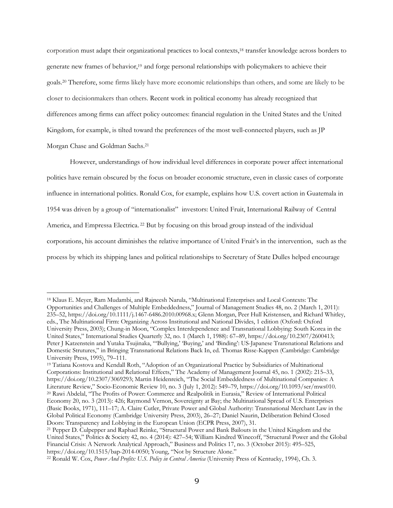corporation must adapt their organizational practices to local contexts,18 transfer knowledge across borders to generate new frames of behavior,<sup>19</sup> and forge personal relationships with policymakers to achieve their goals.20 Therefore, some firms likely have more economic relationships than others, and some are likely to be closer to decisionmakers than others. Recent work in political economy has already recognized that differences among firms can affect policy outcomes: financial regulation in the United States and the United Kingdom, for example, is tilted toward the preferences of the most well-connected players, such as JP Morgan Chase and Goldman Sachs.21

However, understandings of how individual level differences in corporate power affect international politics have remain obscured by the focus on broader economic structure, even in classic cases of corporate influence in international politics. Ronald Cox, for example, explains how U.S. covert action in Guatemala in 1954 was driven by a group of "internationalist" investors: United Fruit, International Railway of Central America, and Empressa Electrica. <sup>22</sup> But by focusing on this broad group instead of the individual corporations, his account diminishes the relative importance of United Fruit's in the intervention, such as the process by which its shipping lanes and political relationships to Secretary of State Dulles helped encourage

<sup>18</sup> Klaus E. Meyer, Ram Mudambi, and Rajneesh Narula, "Multinational Enterprises and Local Contexts: The Opportunities and Challenges of Multiple Embeddedness," Journal of Management Studies 48, no. 2 (March 1, 2011): 235–52, https://doi.org/10.1111/j.1467-6486.2010.00968.x; Glenn Morgan, Peer Hull Kristensen, and Richard Whitley, eds., The Multinational Firm: Organizing Across Institutional and National Divides, 1 edition (Oxford: Oxford University Press, 2003); Chung-in Moon, "Complex Interdependence and Transnational Lobbying: South Korea in the United States," International Studies Quarterly 32, no. 1 (March 1, 1988): 67–89, https://doi.org/10.2307/2600413; Peter J Katzenstein and Yutaka Tsujinaka, "'Bullying,' 'Buying,' and 'Binding': US-Japanese Transnational Relations and Domestic Strutures," in Bringing Transnational Relations Back In, ed. Thomas Risse-Kappen (Cambridge: Cambridge University Press, 1995), 79–111.

<sup>19</sup> Tatiana Kostova and Kendall Roth, "Adoption of an Organizational Practice by Subsidiaries of Multinational Corporations: Institutional and Relational Effects," The Academy of Management Journal 45, no. 1 (2002): 215–33, https://doi.org/10.2307/3069293; Martin Heidenreich, "The Social Embeddedness of Multinational Companies: A Literature Review," Socio-Economic Review 10, no. 3 (July 1, 2012): 549–79, https://doi.org/10.1093/ser/mws010. <sup>20</sup> Rawi Abdelal, "The Profits of Power: Commerce and Realpolitik in Eurasia," Review of International Political Economy 20, no. 3 (2013): 426; Raymond Vernon, Sovereignty at Bay; the Multinational Spread of U.S. Enterprises (Basic Books, 1971), 111–17; A. Claire Cutler, Private Power and Global Authority: Transnational Merchant Law in the Global Political Economy (Cambridge University Press, 2003), 26–27; Daniel Naurin, Deliberation Behind Closed Doors: Transparency and Lobbying in the European Union (ECPR Press, 2007), 31.

<sup>21</sup> Pepper D. Culpepper and Raphael Reinke, "Structural Power and Bank Bailouts in the United Kingdom and the United States," Politics & Society 42, no. 4 (2014): 427–54; William Kindred Winecoff, "Structural Power and the Global Financial Crisis: A Network Analytical Approach," Business and Politics 17, no. 3 (October 2015): 495–525, https://doi.org/10.1515/bap-2014-0050; Young, "Not by Structure Alone."

<sup>22</sup> Ronald W. Cox, *Power And Profits: U.S. Policy in Central America* (University Press of Kentucky, 1994), Ch. 3.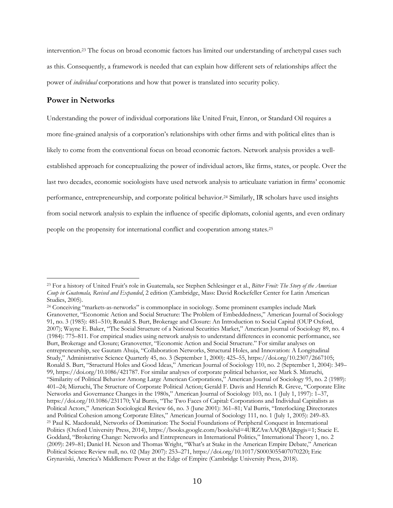intervention.23 The focus on broad economic factors has limited our understanding of archetypal cases such as this. Consequently, a framework is needed that can explain how different sets of relationships affect the power of *individual* corporations and how that power is translated into security policy.

# **Power in Networks**

Understanding the power of individual corporations like United Fruit, Enron, or Standard Oil requires a more fine-grained analysis of a corporation's relationships with other firms and with political elites than is likely to come from the conventional focus on broad economic factors. Network analysis provides a wellestablished approach for conceptualizing the power of individual actors, like firms, states, or people. Over the last two decades, economic sociologists have used network analysis to articulaate variation in firms' economic performance, entrepreneurship, and corporate political behavior.24 Similarly, IR scholars have used insights from social network analysis to explain the influence of specific diplomats, colonial agents, and even ordinary people on the propensity for international conflict and cooperation among states.25

<sup>23</sup> For a history of United Fruit's role in Guatemala, see Stephen Schlesinger et al., *Bitter Fruit: The Story of the American Coup in Guatemala, Revised and Expanded*, 2 edition (Cambridge, Mass: David Rockefeller Center for Latin American Studies, 2005).

<sup>24</sup> Conceiving "markets-as-networks" is commonplace in sociology. Some prominent examples include Mark Granovetter, "Economic Action and Social Structure: The Problem of Embeddedness," American Journal of Sociology 91, no. 3 (1985): 481–510; Ronald S. Burt, Brokerage and Closure: An Introduction to Social Capital (OUP Oxford, 2007); Wayne E. Baker, "The Social Structure of a National Securities Market," American Journal of Sociology 89, no. 4 (1984): 775–811. For empirical studies using network analysis to understand differences in economic performance, see Burt, Brokerage and Closure; Granovetter, "Economic Action and Social Structure." For similar analyses on entrepreneurship, see Gautam Ahuja, "Collaboration Networks, Structural Holes, and Innovation: A Longitudinal Study," Administrative Science Quarterly 45, no. 3 (September 1, 2000): 425–55, https://doi.org/10.2307/2667105; Ronald S. Burt, "Structural Holes and Good Ideas," American Journal of Sociology 110, no. 2 (September 1, 2004): 349– 99, https://doi.org/10.1086/421787. For similar analyses of corporate political behavior, see Mark S. Mizruchi, "Similarity of Political Behavior Among Large American Corporations," American Journal of Sociology 95, no. 2 (1989): 401–24; Mizruchi, The Structure of Corporate Political Action; Gerald F. Davis and Henrich R. Greve, "Corporate Elite Networks and Governance Changes in the 1980s," American Journal of Sociology 103, no. 1 (July 1, 1997): 1–37, https://doi.org/10.1086/231170; Val Burris, "The Two Faces of Capital: Corporations and Individual Capitalists as Political Actors," American Sociological Review 66, no. 3 (June 2001): 361–81; Val Burris, "Interlocking Directorates and Political Cohesion among Corporate Elites," American Journal of Sociology 111, no. 1 (July 1, 2005): 249–83. <sup>25</sup> Paul K. Macdonald, Networks of Domination: The Social Foundations of Peripheral Conquest in International Politics (Oxford University Press, 2014), https://books.google.com/books?id=4URZAwAAQBAJ&pgis=1; Stacie E. Goddard, "Brokering Change: Networks and Entrepreneurs in International Politics," International Theory 1, no. 2 (2009): 249–81; Daniel H. Nexon and Thomas Wright, "What's at Stake in the American Empire Debate," American Political Science Review null, no. 02 (May 2007): 253–271, https://doi.org/10.1017/S0003055407070220; Eric Grynaviski, America's Middlemen: Power at the Edge of Empire (Cambridge University Press, 2018).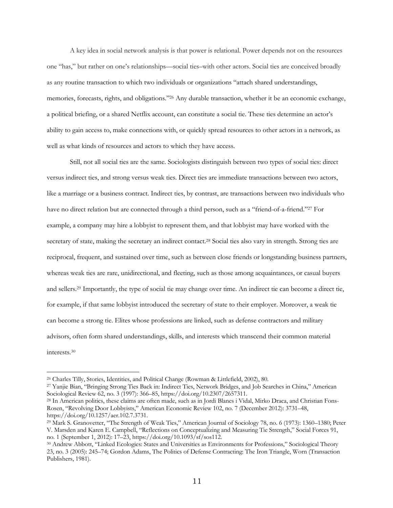A key idea in social network analysis is that power is relational. Power depends not on the resources one "has," but rather on one's relationships—social ties–with other actors. Social ties are conceived broadly as any routine transaction to which two individuals or organizations "attach shared understandings, memories, forecasts, rights, and obligations."26 Any durable transaction, whether it be an economic exchange, a political briefing, or a shared Netflix account, can constitute a social tie. These ties determine an actor's ability to gain access to, make connections with, or quickly spread resources to other actors in a network, as well as what kinds of resources and actors to which they have access.

Still, not all social ties are the same. Sociologists distinguish between two types of social ties: direct versus indirect ties, and strong versus weak ties. Direct ties are immediate transactions between two actors, like a marriage or a business contract. Indirect ties, by contrast, are transactions between two individuals who have no direct relation but are connected through a third person, such as a "friend-of-a-friend."27 For example, a company may hire a lobbyist to represent them, and that lobbyist may have worked with the secretary of state, making the secretary an indirect contact.<sup>28</sup> Social ties also vary in strength. Strong ties are reciprocal, frequent, and sustained over time, such as between close friends or longstanding business partners, whereas weak ties are rare, unidirectional, and fleeting, such as those among acquaintances, or casual buyers and sellers.29 Importantly, the type of social tie may change over time. An indirect tie can become a direct tie, for example, if that same lobbyist introduced the secretary of state to their employer. Moreover, a weak tie can become a strong tie. Elites whose professions are linked, such as defense contractors and military advisors, often form shared understandings, skills, and interests which transcend their common material interests.30

<sup>26</sup> Charles Tilly, Stories, Identities, and Political Change (Rowman & Littlefield, 2002), 80.

<sup>27</sup> Yanjie Bian, "Bringing Strong Ties Back in: Indirect Ties, Network Bridges, and Job Searches in China," American Sociological Review 62, no. 3 (1997): 366–85, https://doi.org/10.2307/2657311.

<sup>28</sup> In American politics, these claims are often made, such as in Jordi Blanes i Vidal, Mirko Draca, and Christian Fons-Rosen, "Revolving Door Lobbyists," American Economic Review 102, no. 7 (December 2012): 3731–48, https://doi.org/10.1257/aer.102.7.3731.

<sup>29</sup> Mark S. Granovetter, "The Strength of Weak Ties," American Journal of Sociology 78, no. 6 (1973): 1360–1380; Peter V. Marsden and Karen E. Campbell, "Reflections on Conceptualizing and Measuring Tie Strength," Social Forces 91, no. 1 (September 1, 2012): 17–23, https://doi.org/10.1093/sf/sos112.

<sup>30</sup> Andrew Abbott, "Linked Ecologies: States and Universities as Environments for Professions," Sociological Theory 23, no. 3 (2005): 245–74; Gordon Adams, The Politics of Defense Contracting: The Iron Triangle, Worn (Transaction Publishers, 1981).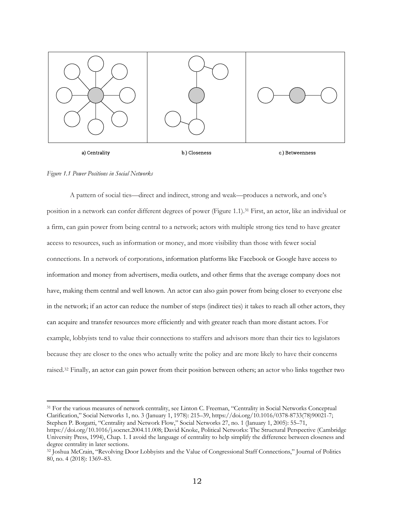

*Figure 1.1 Power Positions in Social Networks*

A pattern of social ties—direct and indirect, strong and weak—produces a network, and one's position in a network can confer different degrees of power (Figure 1.1).31 First, an actor, like an individual or a firm, can gain power from being central to a network; actors with multiple strong ties tend to have greater access to resources, such as information or money, and more visibility than those with fewer social connections. In a network of corporations, information platforms like Facebook or Google have access to information and money from advertisers, media outlets, and other firms that the average company does not have, making them central and well known. An actor can also gain power from being closer to everyone else in the network; if an actor can reduce the number of steps (indirect ties) it takes to reach all other actors, they can acquire and transfer resources more efficiently and with greater reach than more distant actors. For example, lobbyists tend to value their connections to staffers and advisors more than their ties to legislators because they are closer to the ones who actually write the policy and are more likely to have their concerns raised.32 Finally, an actor can gain power from their position between others; an actor who links together two

<sup>31</sup> For the various measures of network centrality, see Linton C. Freeman, "Centrality in Social Networks Conceptual Clarification," Social Networks 1, no. 3 (January 1, 1978): 215–39, https://doi.org/10.1016/0378-8733(78)90021-7; Stephen P. Borgatti, "Centrality and Network Flow," Social Networks 27, no. 1 (January 1, 2005): 55–71, https://doi.org/10.1016/j.socnet.2004.11.008; David Knoke, Political Networks: The Structural Perspective (Cambridge University Press, 1994), Chap. 1. I avoid the language of centrality to help simplify the difference between closeness and

degree centrality in later sections. <sup>32</sup> Joshua McCrain, "Revolving Door Lobbyists and the Value of Congressional Staff Connections," Journal of Politics 80, no. 4 (2018): 1369–83.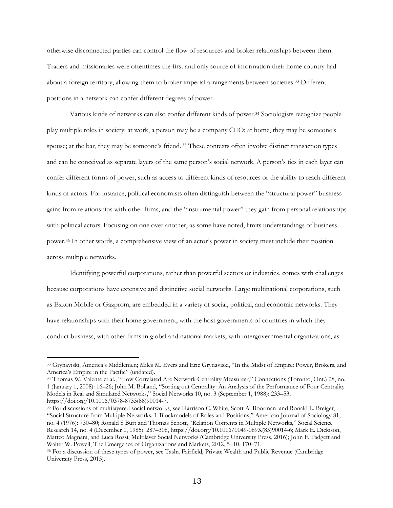otherwise disconnected parties can control the flow of resources and broker relationships between them. Traders and missionaries were oftentimes the first and only source of information their home country had about a foreign territory, allowing them to broker imperial arrangements between societies.33 Different positions in a network can confer different degrees of power.

Various kinds of networks can also confer different kinds of power.34 Sociologists recognize people play multiple roles in society: at work, a person may be a company CEO; at home, they may be someone's spouse; at the bar, they may be someone's friend. <sup>35</sup> These contexts often involve distinct transaction types and can be conceived as separate layers of the same person's social network. A person's ties in each layer can confer different forms of power, such as access to different kinds of resources or the ability to reach different kinds of actors. For instance, political economists often distinguish between the "structural power" business gains from relationships with other firms, and the "instrumental power" they gain from personal relationships with political actors. Focusing on one over another, as some have noted, limits understandings of business power.36 In other words, a comprehensive view of an actor's power in society must include their position across multiple networks.

Identifying powerful corporations, rather than powerful sectors or industries, comes with challenges because corporations have extensive and distinctive social networks. Large multinational corporations, such as Exxon Mobile or Gazprom, are embedded in a variety of social, political, and economic networks. They have relationships with their home government, with the host governments of countries in which they conduct business, with other firms in global and national markets, with intergovernmental organizations, as

<sup>33</sup> Grynaviski, America's Middlemen; Miles M. Evers and Eric Grynaviski, "In the Midst of Empire: Power, Brokers, and America's Empire in the Pacific" (undated).

<sup>34</sup> Thomas W. Valente et al., "How Correlated Are Network Centrality Measures?," Connections (Toronto, Ont.) 28, no. 1 (January 1, 2008): 16–26; John M. Bolland, "Sorting out Centrality: An Analysis of the Performance of Four Centrality Models in Real and Simulated Networks," Social Networks 10, no. 3 (September 1, 1988): 233–53, https://doi.org/10.1016/0378-8733(88)90014-7.

<sup>35</sup> For discussions of multilayered social networks, see Harrison C. White, Scott A. Boorman, and Ronald L. Breiger, "Social Structure from Multiple Networks. I. Blockmodels of Roles and Positions," American Journal of Sociology 81, no. 4 (1976): 730–80; Ronald S Burt and Thomas Schøtt, "Relation Contents in Multiple Networks," Social Science Research 14, no. 4 (December 1, 1985): 287–308, https://doi.org/10.1016/0049-089X(85)90014-6; Mark E. Dickison, Matteo Magnani, and Luca Rossi, Multilayer Social Networks (Cambridge University Press, 2016); John F. Padgett and Walter W. Powell, The Emergence of Organizations and Markets, 2012, 5–10, 170–71.

<sup>36</sup> For a discussion of these types of power, see Tasha Fairfield, Private Wealth and Public Revenue (Cambridge University Press, 2015).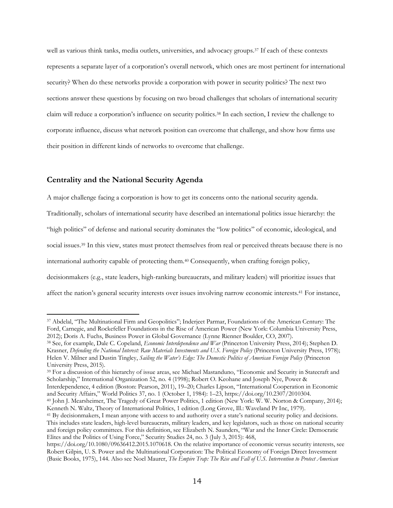well as various think tanks, media outlets, universities, and advocacy groups.37 If each of these contexts represents a separate layer of a corporation's overall network, which ones are most pertinent for international security? When do these networks provide a corporation with power in security politics? The next two sections answer these questions by focusing on two broad challenges that scholars of international security claim will reduce a corporation's influence on security politics.38 In each section, I review the challenge to corporate influence, discuss what network position can overcome that challenge, and show how firms use their position in different kinds of networks to overcome that challenge.

# **Centrality and the National Security Agenda**

A major challenge facing a corporation is how to get its concerns onto the national security agenda.

Traditionally, scholars of international security have described an international politics issue hierarchy: the

"high politics" of defense and national security dominates the "low politics" of economic, ideological, and

social issues.39 In this view, states must protect themselves from real or perceived threats because there is no

international authority capable of protecting them.40 Consequently, when crafting foreign policy,

decisionmakers (e.g., state leaders, high-ranking bureaucrats, and military leaders) will prioritize issues that

affect the nation's general security interests over issues involving narrow economic interests.41 For instance,

<sup>39</sup> For a discussion of this hierarchy of issue areas, see Michael Mastanduno, "Economic and Security in Statecraft and Scholarship," International Organization 52, no. 4 (1998); Robert O. Keohane and Joseph Nye, Power & Interdependence, 4 edition (Boston: Pearson, 2011), 19–20; Charles Lipson, "International Cooperation in Economic and Security Affairs," World Politics 37, no. 1 (October 1, 1984): 1–23, https://doi.org/10.2307/2010304.

<sup>37</sup> Abdelal, "The Multinational Firm and Geopolitics"; Inderjeet Parmar, Foundations of the American Century: The Ford, Carnegie, and Rockefeller Foundations in the Rise of American Power (New York: Columbia University Press, 2012); Doris A. Fuchs, Business Power in Global Governance (Lynne Rienner Boulder, CO, 2007).

<sup>38</sup> See, for example, Dale C. Copeland, *Economic Interdependence and War* (Princeton University Press, 2014); Stephen D. Krasner, *Defending the National Interest: Raw Materials Investments and U.S. Foreign Policy* (Princeton University Press, 1978); Helen V. Milner and Dustin Tingley, *Sailing the Water's Edge: The Domestic Politics of American Foreign Policy* (Princeton University Press, 2015).

<sup>40</sup> John J. Mearsheimer, The Tragedy of Great Power Politics, 1 edition (New York: W. W. Norton & Company, 2014); Kenneth N. Waltz, Theory of International Politics, 1 edition (Long Grove, Ill.: Waveland Pr Inc, 1979).

<sup>41</sup> By decisionmakers, I mean anyone with access to and authority over a state's national security policy and decisions. This includes state leaders, high-level bureaucrats, military leaders, and key legislators, such as those on national security and foreign policy committees. For this definition, see Elizabeth N. Saunders, "War and the Inner Circle: Democratic Elites and the Politics of Using Force," Security Studies 24, no. 3 (July 3, 2015): 468,

https://doi.org/10.1080/09636412.2015.1070618. On the relative importance of economic versus security interests, see Robert Gilpin, U. S. Power and the Multinational Corporation: The Political Economy of Foreign Direct Investment (Basic Books, 1975), 144. Also see Noel Maurer, *The Empire Trap: The Rise and Fall of U.S. Intervention to Protect American*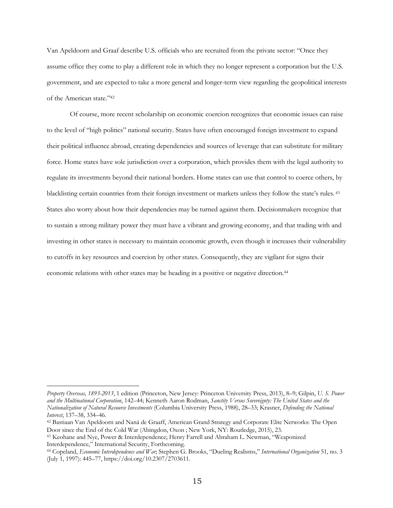Van Apeldoorn and Graaf describe U.S. officials who are recruited from the private sector: "Once they assume office they come to play a different role in which they no longer represent a corporation but the U.S. government, and are expected to take a more general and longer-term view regarding the geopolitical interests of the American state."42

Of course, more recent scholarship on economic coercion recognizes that economic issues can raise to the level of "high politics" national security. States have often encouraged foreign investment to expand their political influence abroad, creating dependencies and sources of leverage that can substitute for military force. Home states have sole jurisdiction over a corporation, which provides them with the legal authority to regulate its investments beyond their national borders. Home states can use that control to coerce others, by blacklisting certain countries from their foreign investment or markets unless they follow the state's rules. <sup>43</sup> States also worry about how their dependencies may be turned against them. Decisionmakers recognize that to sustain a strong military power they must have a vibrant and growing economy, and that trading with and investing in other states is necessary to maintain economic growth, even though it increases their vulnerability to cutoffs in key resources and coercion by other states. Consequently, they are vigilant for signs their economic relations with other states may be heading in a positive or negative direction.44

*Property Overseas, 1893-2013*, 1 edition (Princeton, New Jersey: Princeton University Press, 2013), 8–9; Gilpin, *U. S. Power and the Multinational Corporation*, 142–44; Kenneth Aaron Rodman, *Sanctity Versus Sovereignty: The United States and the Nationalization of Natural Resource Investments* (Columbia University Press, 1988), 28–33; Krasner, *Defending the National Interest*, 137–38, 334–46.

<sup>42</sup> Bastiaan Van Apeldoorn and Naná de Graaff, American Grand Strategy and Corporate Elite Networks: The Open Door since the End of the Cold War (Abingdon, Oxon ; New York, NY: Routledge, 2015), 23.

<sup>43</sup> Keohane and Nye, Power & Interdependence; Henry Farrell and Abraham L. Newman, "Weaponized Interdependence," International Security, Forthcoming.

<sup>44</sup> Copeland, *Economic Interdependence and War*; Stephen G. Brooks, "Dueling Realisms," *International Organization* 51, no. 3 (July 1, 1997): 445–77, https://doi.org/10.2307/2703611.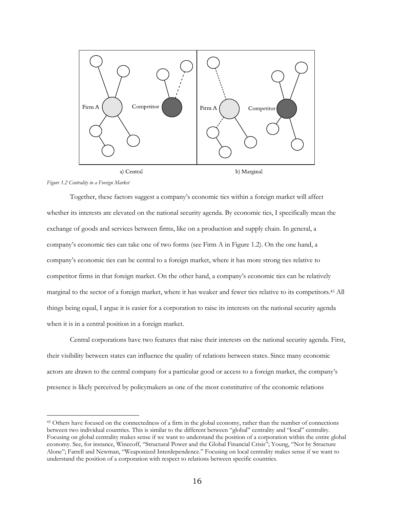

*Figure 1.2 Centrality in a Foreign Market*

Together, these factors suggest a company's economic ties within a foreign market will affect whether its interests are elevated on the national security agenda. By economic ties, I specifically mean the exchange of goods and services between firms, like on a production and supply chain. In general, a company's economic ties can take one of two forms (see Firm A in Figure 1.2). On the one hand, a company's economic ties can be central to a foreign market, where it has more strong ties relative to competitor firms in that foreign market. On the other hand, a company's economic ties can be relatively marginal to the sector of a foreign market, where it has weaker and fewer ties relative to its competitors. <sup>45</sup> All things being equal, I argue it is easier for a corporation to raise its interests on the national security agenda when it is in a central position in a foreign market.

Central corporations have two features that raise their interests on the national security agenda. First, their visibility between states can influence the quality of relations between states. Since many economic actors are drawn to the central company for a particular good or access to a foreign market, the company's presence is likely perceived by policymakers as one of the most constitutive of the economic relations

<sup>45</sup> Others have focused on the connectedness of a firm in the global economy, rather than the number of connections between two individual countries. This is similar to the different between "global" centrality and "local" centrality. Focusing on global centrality makes sense if we want to understand the position of a corporation within the entire global economy. See, for instance, Winecoff, "Structural Power and the Global Financial Crisis"; Young, "Not by Structure Alone"; Farrell and Newman, "Weaponized Interdependence." Focusing on local centrality makes sense if we want to understand the position of a corporation with respect to relations between specific countries.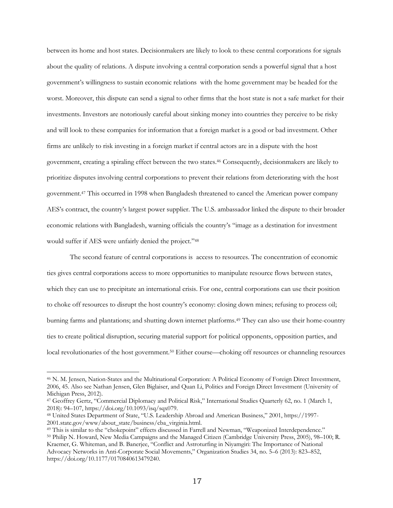between its home and host states. Decisionmakers are likely to look to these central corporations for signals about the quality of relations. A dispute involving a central corporation sends a powerful signal that a host government's willingness to sustain economic relations with the home government may be headed for the worst. Moreover, this dispute can send a signal to other firms that the host state is not a safe market for their investments. Investors are notoriously careful about sinking money into countries they perceive to be risky and will look to these companies for information that a foreign market is a good or bad investment. Other firms are unlikely to risk investing in a foreign market if central actors are in a dispute with the host government, creating a spiraling effect between the two states.46 Consequently, decisionmakers are likely to prioritize disputes involving central corporations to prevent their relations from deteriorating with the host government.47 This occurred in 1998 when Bangladesh threatened to cancel the American power company AES's contract, the country's largest power supplier. The U.S. ambassador linked the dispute to their broader economic relations with Bangladesh, warning officials the country's "image as a destination for investment would suffer if AES were unfairly denied the project."48

The second feature of central corporations is access to resources. The concentration of economic ties gives central corporations access to more opportunities to manipulate resource flows between states, which they can use to precipitate an international crisis. For one, central corporations can use their position to choke off resources to disrupt the host country's economy: closing down mines; refusing to process oil; burning farms and plantations; and shutting down internet platforms.49 They can also use their home-country ties to create political disruption, securing material support for political opponents, opposition parties, and local revolutionaries of the host government.50 Either course—choking off resources or channeling resources

<sup>46</sup> N. M. Jensen, Nation-States and the Multinational Corporation: A Political Economy of Foreign Direct Investment, 2006, 45. Also see Nathan Jensen, Glen Biglaiser, and Quan Li, Politics and Foreign Direct Investment (University of Michigan Press, 2012).

<sup>47</sup> Geoffrey Gertz, "Commercial Diplomacy and Political Risk," International Studies Quarterly 62, no. 1 (March 1, 2018): 94–107, https://doi.org/10.1093/isq/sqx079.

<sup>48</sup> United States Department of State, "U.S. Leadership Abroad and American Business," 2001, https://1997- 2001.state.gov/www/about\_state/business/cba\_virginia.html.

<sup>49</sup> This is similar to the "chokepoint" effects discussed in Farrell and Newman, "Weaponized Interdependence." <sup>50</sup> Philip N. Howard, New Media Campaigns and the Managed Citizen (Cambridge University Press, 2005), 98–100; R. Kraemer, G. Whiteman, and B. Banerjee, "Conflict and Astroturfing in Niyamgiri: The Importance of National Advocacy Networks in Anti-Corporate Social Movements," Organization Studies 34, no. 5–6 (2013): 823–852, https://doi.org/10.1177/0170840613479240.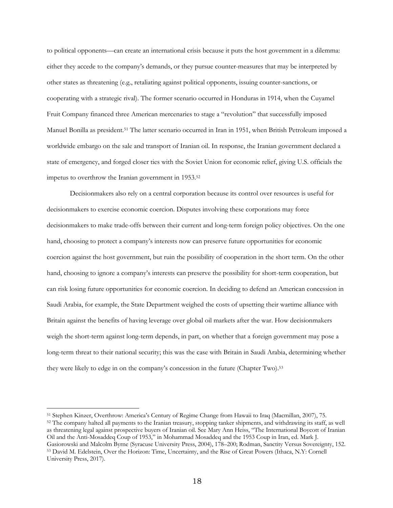to political opponents—can create an international crisis because it puts the host government in a dilemma: either they accede to the company's demands, or they pursue counter-measures that may be interpreted by other states as threatening (e.g., retaliating against political opponents, issuing counter-sanctions, or cooperating with a strategic rival). The former scenario occurred in Honduras in 1914, when the Cuyamel Fruit Company financed three American mercenaries to stage a "revolution" that successfully imposed Manuel Bonilla as president.51 The latter scenario occurred in Iran in 1951, when British Petroleum imposed a worldwide embargo on the sale and transport of Iranian oil. In response, the Iranian government declared a state of emergency, and forged closer ties with the Soviet Union for economic relief, giving U.S. officials the impetus to overthrow the Iranian government in 1953.52

Decisionmakers also rely on a central corporation because its control over resources is useful for decisionmakers to exercise economic coercion. Disputes involving these corporations may force decisionmakers to make trade-offs between their current and long-term foreign policy objectives. On the one hand, choosing to protect a company's interests now can preserve future opportunities for economic coercion against the host government, but ruin the possibility of cooperation in the short term. On the other hand, choosing to ignore a company's interests can preserve the possibility for short-term cooperation, but can risk losing future opportunities for economic coercion. In deciding to defend an American concession in Saudi Arabia, for example, the State Department weighed the costs of upsetting their wartime alliance with Britain against the benefits of having leverage over global oil markets after the war. How decisionmakers weigh the short-term against long-term depends, in part, on whether that a foreign government may pose a long-term threat to their national security; this was the case with Britain in Saudi Arabia, determining whether they were likely to edge in on the company's concession in the future (Chapter Two). 53

<sup>51</sup> Stephen Kinzer, Overthrow: America's Century of Regime Change from Hawaii to Iraq (Macmillan, 2007), 75.

<sup>&</sup>lt;sup>52</sup> The company halted all payments to the Iranian treasury, stopping tanker shipments, and withdrawing its staff, as well as threatening legal against prospective buyers of Iranian oil. See Mary Ann Heiss, "The International Boycott of Iranian Oil and the Anti-Mosaddeq Coup of 1953," in Mohammad Mosaddeq and the 1953 Coup in Iran, ed. Mark J.

Gasiorowski and Malcolm Byrne (Syracuse University Press, 2004), 178–200; Rodman, Sanctity Versus Sovereignty, 152. <sup>53</sup> David M. Edelstein, Over the Horizon: Time, Uncertainty, and the Rise of Great Powers (Ithaca, N.Y: Cornell University Press, 2017).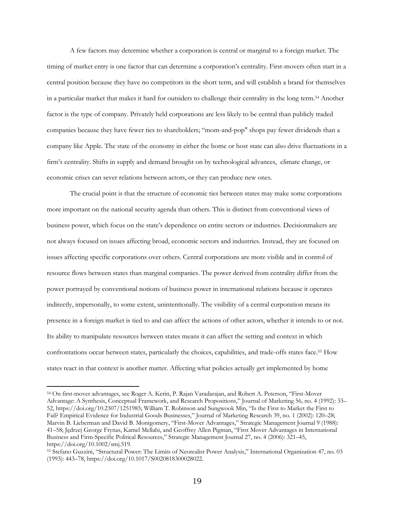A few factors may determine whether a corporation is central or marginal to a foreign market. The timing of market entry is one factor that can determine a corporation's centrality. First-movers often start in a central position because they have no competitors in the short term, and will establish a brand for themselves in a particular market that makes it hard for outsiders to challenge their centrality in the long term.54 Another factor is the type of company. Privately held corporations are less likely to be central than publicly traded companies because they have fewer ties to shareholders; "mom-and-pop" shops pay fewer dividends than a company like Apple. The state of the economy in either the home or host state can also drive fluctuations in a firm's centrality. Shifts in supply and demand brought on by technological advances, climate change, or economic crises can sever relations between actors, or they can produce new ones.

The crucial point is that the structure of economic ties between states may make some corporations more important on the national security agenda than others. This is distinct from conventional views of business power, which focus on the state's dependence on entire sectors or industries. Decisionmakers are not always focused on issues affecting broad, economic sectors and industries. Instead, they are focused on issues affecting specific corporations over others. Central corporations are more visible and in control of resource flows between states than marginal companies. The power derived from centrality differ from the power portrayed by conventional notions of business power in international relations because it operates indirectly, impersonally, to some extent, unintentionally. The visibility of a central corporation means its presence in a foreign market is tied to and can affect the actions of other actors, whether it intends to or not. Its ability to manipulate resources between states means it can affect the setting and context in which confrontations occur between states, particularly the choices, capabilities, and trade-offs states face.55 How states react in that context is another matter. Affecting what policies actually get implemented by home

<sup>54</sup> On first-mover advantages, see Roger A. Kerin, P. Rajan Varadarajan, and Robert A. Peterson, "First-Mover Advantage: A Synthesis, Conceptual Framework, and Research Propositions," Journal of Marketing 56, no. 4 (1992): 33– 52, https://doi.org/10.2307/1251985; William T. Robinson and Sungwook Min, "Is the First to Market the First to Fail? Empirical Evidence for Industrial Goods Businesses," Journal of Marketing Research 39, no. 1 (2002): 120–28; Marvin B. Lieberman and David B. Montgomery, "First-Mover Advantages," Strategic Management Journal 9 (1988): 41–58; Jędrzej George Frynas, Kamel Mellahi, and Geoffrey Allen Pigman, "First Mover Advantages in International Business and Firm-Specific Political Resources," Strategic Management Journal 27, no. 4 (2006): 321–45, https://doi.org/10.1002/smj.519.

<sup>55</sup> Stefano Guzzini, "Structural Power: The Limits of Neorealist Power Analysis," International Organization 47, no. 03 (1993): 443–78, https://doi.org/10.1017/S0020818300028022.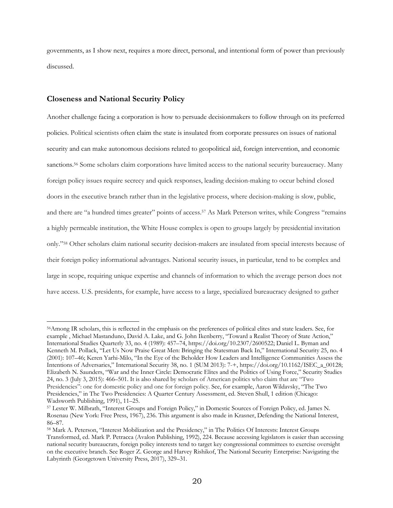governments, as I show next, requires a more direct, personal, and intentional form of power than previously discussed.

# **Closeness and National Security Policy**

Another challenge facing a corporation is how to persuade decisionmakers to follow through on its preferred policies. Political scientists often claim the state is insulated from corporate pressures on issues of national security and can make autonomous decisions related to geopolitical aid, foreign intervention, and economic sanctions.<sup>56</sup> Some scholars claim corporations have limited access to the national security bureaucracy. Many foreign policy issues require secrecy and quick responses, leading decision-making to occur behind closed doors in the executive branch rather than in the legislative process, where decision-making is slow, public, and there are "a hundred times greater" points of access.57 As Mark Peterson writes, while Congress "remains a highly permeable institution, the White House complex is open to groups largely by presidential invitation only."58 Other scholars claim national security decision-makers are insulated from special interests because of their foreign policy informational advantages. National security issues, in particular, tend to be complex and large in scope, requiring unique expertise and channels of information to which the average person does not have access. U.S. presidents, for example, have access to a large, specialized bureaucracy designed to gather

<sup>56</sup>Among IR scholars, this is reflected in the emphasis on the preferences of political elites and state leaders. See, for example , Michael Mastanduno, David A. Lake, and G. John Ikenberry, "Toward a Realist Theory of State Action," International Studies Quarterly 33, no. 4 (1989): 457–74, https://doi.org/10.2307/2600522; Daniel L. Byman and Kenneth M. Pollack, "Let Us Now Praise Great Men: Bringing the Statesman Back In," International Security 25, no. 4 (2001): 107–46; Keren Yarhi-Milo, "In the Eye of the Beholder How Leaders and Intelligence Communities Assess the Intentions of Adversaries," International Security 38, no. 1 (SUM 2013): 7-+, https://doi.org/10.1162/ISEC\_a\_00128; Elizabeth N. Saunders, "War and the Inner Circle: Democratic Elites and the Politics of Using Force," Security Studies 24, no. 3 (July 3, 2015): 466–501. It is also shared by scholars of American politics who claim that are "Two Presidencies": one for domestic policy and one for foreign policy. See, for example, Aaron Wildavsky, "The Two Presidencies," in The Two Presidencies: A Quarter Century Assessment, ed. Steven Shull, 1 edition (Chicago: Wadsworth Publishing, 1991), 11–25.

<sup>57</sup> Lester W. Milbrath, "Interest Groups and Foreign Policy," in Domestic Sources of Foreign Policy, ed. James N. Rosenau (New York: Free Press, 1967), 236. This argument is also made in Krasner, Defending the National Interest, 86–87.

<sup>58</sup> Mark A. Peterson, "Interest Mobilization and the Presidency," in The Politics Of Interests: Interest Groups Transformed, ed. Mark P. Petracca (Avalon Publishing, 1992), 224. Because accessing legislators is easier than accessing national security bureaucrats, foreign policy interests tend to target key congressional committees to exercise oversight on the executive branch. See Roger Z. George and Harvey Rishikof, The National Security Enterprise: Navigating the Labyrinth (Georgetown University Press, 2017), 329–31.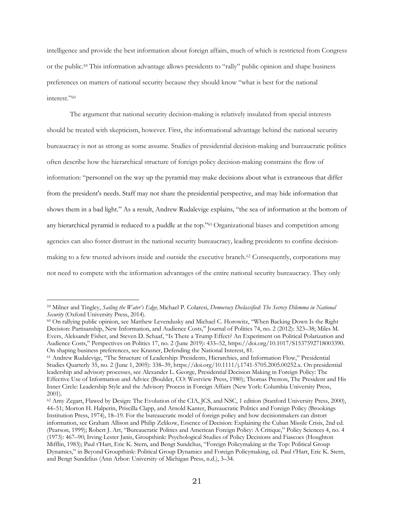intelligence and provide the best information about foreign affairs, much of which is restricted from Congress or the public.59 This information advantage allows presidents to "rally" public opinion and shape business preferences on matters of national security because they should know "what is best for the national interest."60

The argument that national security decision-making is relatively insulated from special interests should be treated with skepticism, however. First, the informational advantage behind the national security bureaucracy is not as strong as some assume. Studies of presidential decision-making and bureaucratic politics often describe how the hierarchical structure of foreign policy decision-making constrains the flow of information: "personnel on the way up the pyramid may make decisions about what is extraneous that differ from the president's needs. Staff may not share the presidential perspective, and may hide information that shows them in a bad light." As a result, Andrew Rudalevige explains, "the sea of information at the bottom of any hierarchical pyramid is reduced to a puddle at the top."61 Organizational biases and competition among agencies can also foster distrust in the national security bureaucracy, leading presidents to confine decisionmaking to a few trusted advisors inside and outside the executive branch. <sup>62</sup> Consequently, corporations may not need to compete with the information advantages of the entire national security bureaucracy. They only

<sup>59</sup> Milner and Tingley, *Sailing the Water's Edge*; Michael P. Colaresi, *Democracy Declassified: The Secrecy Dilemma in National Security* (Oxford University Press, 2014).

<sup>60</sup> On rallying public opinion, see Matthew Levendusky and Michael C. Horowitz, "When Backing Down Is the Right Decision: Partisanship, New Information, and Audience Costs," Journal of Politics 74, no. 2 (2012): 323–38; Miles M. Evers, Aleksandr Fisher, and Steven D. Schaaf, "Is There a Trump Effect? An Experiment on Political Polarization and Audience Costs," Perspectives on Politics 17, no. 2 (June 2019): 433–52, https://doi.org/10.1017/S1537592718003390. On shaping business preferences, see Krasner, Defending the National Interest, 81.

<sup>61</sup> Andrew Rudalevige, "The Structure of Leadership: Presidents, Hierarchies, and Information Flow," Presidential Studies Quarterly 35, no. 2 (June 1, 2005): 338–39, https://doi.org/10.1111/j.1741-5705.2005.00252.x. On presidential leadership and advisory processes, see Alexander L. George, Presidential Decision Making in Foreign Policy: The Effective Use of Information and Advice (Boulder, CO: Westview Press, 1980); Thomas Preston, The President and His Inner Circle: Leadership Style and the Advisory Process in Foreign Affairs (New York: Columbia University Press, 2001).

<sup>62</sup> Amy Zegart, Flawed by Design: The Evolution of the CIA, JCS, and NSC, 1 edition (Stanford University Press, 2000), 44–51; Morton H. Halperin, Priscilla Clapp, and Arnold Kanter, Bureaucratic Politics and Foreign Policy (Brookings Institution Press, 1974), 18–19. For the bureaucratic model of foreign policy and how decisionmakers can distort information, see Graham Allison and Philip Zelikow, Essence of Decision: Explaining the Cuban Missile Crisis, 2nd ed. (Pearson, 1999); Robert J. Art, "Bureaucratic Politics and American Foreign Policy: A Critique," Policy Sciences 4, no. 4 (1973): 467–90; Irving Lester Janis, Groupthink: Psychological Studies of Policy Decisions and Fiascoes (Houghton Mifflin, 1983); Paul t'Hart, Eric K. Stern, and Bengt Sundelius, "Foreign Policymaking at the Top: Political Group Dynamics," in Beyond Groupthink: Political Group Dynamics and Foreign Policymaking, ed. Paul t'Hart, Eric K. Stern, and Bengt Sundelius (Ann Arbor: University of Michigan Press, n.d.), 3–34.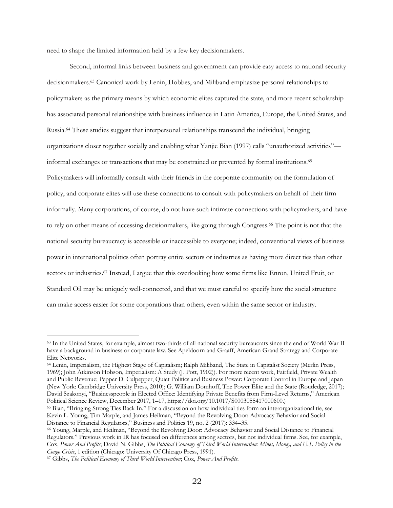need to shape the limited information held by a few key decisionmakers.

Second, informal links between business and government can provide easy access to national security decisionmakers.63 Canonical work by Lenin, Hobbes, and Miliband emphasize personal relationships to policymakers as the primary means by which economic elites captured the state, and more recent scholarship has associated personal relationships with business influence in Latin America, Europe, the United States, and Russia.64 These studies suggest that interpersonal relationships transcend the individual, bringing organizations closer together socially and enabling what Yanjie Bian (1997) calls "unauthorized activities" informal exchanges or transactions that may be constrained or prevented by formal institutions.65 Policymakers will informally consult with their friends in the corporate community on the formulation of policy, and corporate elites will use these connections to consult with policymakers on behalf of their firm informally. Many corporations, of course, do not have such intimate connections with policymakers, and have to rely on other means of accessing decisionmakers, like going through Congress.<sup>66</sup> The point is not that the national security bureaucracy is accessible or inaccessible to everyone; indeed, conventional views of business power in international politics often portray entire sectors or industries as having more direct ties than other sectors or industries.<sup>67</sup> Instead, I argue that this overlooking how some firms like Enron, United Fruit, or Standard Oil may be uniquely well-connected, and that we must careful to specify how the social structure can make access easier for some corporations than others, even within the same sector or industry.

<sup>63</sup> In the United States, for example, almost two-thirds of all national security bureaucrats since the end of World War II have a background in business or corporate law. See Apeldoorn and Graaff, American Grand Strategy and Corporate Elite Networks.

<sup>64</sup> Lenin, Imperialism, the Highest Stage of Capitalism; Ralph Miliband, The State in Capitalist Society (Merlin Press, 1969); John Atkinson Hobson, Imperialism: A Study (J. Pott, 1902)). For more recent work, Fairfield, Private Wealth and Public Revenue; Pepper D. Culpepper, Quiet Politics and Business Power: Corporate Control in Europe and Japan (New York: Cambridge University Press, 2010); G. William Domhoff, The Power Elite and the State (Routledge, 2017); David Szakonyi, "Businesspeople in Elected Office: Identifying Private Benefits from Firm-Level Returns," American Political Science Review, December 2017, 1–17, https://doi.org/10.1017/S0003055417000600.)

<sup>65</sup> Bian, "Bringing Strong Ties Back In." For a discussion on how individual ties form an interorganizational tie, see Kevin L. Young, Tim Marple, and James Heilman, "Beyond the Revolving Door: Advocacy Behavior and Social Distance to Financial Regulators," Business and Politics 19, no. 2 (2017): 334–35.

<sup>66</sup> Young, Marple, and Heilman, "Beyond the Revolving Door: Advocacy Behavior and Social Distance to Financial Regulators." Previous work in IR has focused on differences among sectors, but not individual firms. See, for example, Cox, *Power And Profits*; David N. Gibbs, *The Political Economy of Third World Intervention: Mines, Money, and U.S. Policy in the Congo Crisis*, 1 edition (Chicago: University Of Chicago Press, 1991).

<sup>67</sup> Gibbs, *The Political Economy of Third World Intervention*; Cox, *Power And Profits*.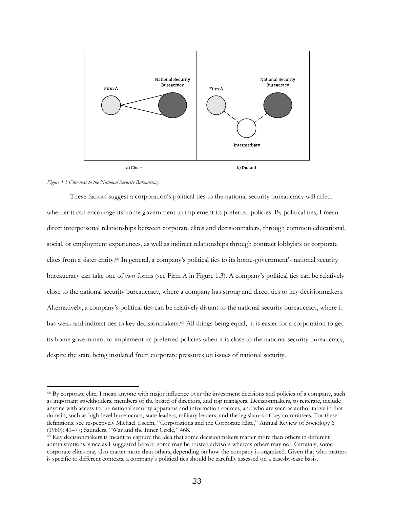

#### *Figure 1.3 Closeness to the National Security Bureaucracy*

These factors suggest a corporation's political ties to the national security bureaucracy will affect whether it can encourage its home government to implement its preferred policies. By political ties, I mean direct interpersonal relationships between corporate elites and decisionmakers, through common educational, social, or employment experiences, as well as indirect relationships through contract lobbyists or corporate elites from a sister entity.68 In general, a company's political ties to its home-government's national security bureaucracy can take one of two forms (see Firm A in Figure 1.3). A company's political ties can be relatively close to the national security bureaucracy, where a company has strong and direct ties to key decisionmakers. Alternatively, a company's political ties can be relatively distant to the national security bureaucracy, where it has weak and indirect ties to key decisionmakers.<sup>69</sup> All things being equal, it is easier for a corporation to get its home government to implement its preferred policies when it is close to the national security bureaucracy, despite the state being insulated from corporate pressures on issues of national security.

<sup>68</sup> By corporate elite, I mean anyone with major influence over the investment decisions and policies of a company, such as important stockholders, members of the board of directors, and top managers. Decisionmakers, to reiterate, include anyone with access to the national security apparatus and information sources, and who are seen as authoritative in that domain, such as high-level bureaucrats, state leaders, military leaders, and the legislators of key committees. For these definitions, see respectively Michael Useem, "Corporations and the Corporate Elite," Annual Review of Sociology 6 (1980): 41–77; Saunders, "War and the Inner Circle," 468.

<sup>&</sup>lt;sup>69</sup> Key decisionmakers is meant to capture the idea that some decisionmakers matter more than others in different administrations, since as I suggested before, some may be trusted advisors whereas others may not. Certainly, some corporate elites may also matter more than others, depending on how the company is organized. Given that who matters is specific to different contexts, a company's political ties should be carefully assessed on a case-by-case basis.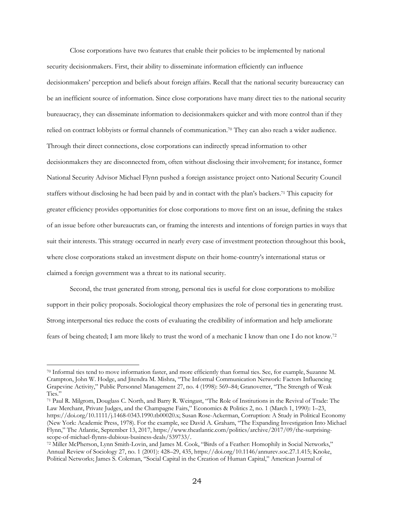Close corporations have two features that enable their policies to be implemented by national security decisionmakers. First, their ability to disseminate information efficiently can influence decisionmakers' perception and beliefs about foreign affairs. Recall that the national security bureaucracy can be an inefficient source of information. Since close corporations have many direct ties to the national security bureaucracy, they can disseminate information to decisionmakers quicker and with more control than if they relied on contract lobbyists or formal channels of communication.70 They can also reach a wider audience. Through their direct connections, close corporations can indirectly spread information to other decisionmakers they are disconnected from, often without disclosing their involvement; for instance, former National Security Advisor Michael Flynn pushed a foreign assistance project onto National Security Council staffers without disclosing he had been paid by and in contact with the plan's backers.71 This capacity for greater efficiency provides opportunities for close corporations to move first on an issue, defining the stakes of an issue before other bureaucrats can, or framing the interests and intentions of foreign parties in ways that suit their interests. This strategy occurred in nearly every case of investment protection throughout this book, where close corporations staked an investment dispute on their home-country's international status or claimed a foreign government was a threat to its national security.

Second, the trust generated from strong, personal ties is useful for close corporations to mobilize support in their policy proposals. Sociological theory emphasizes the role of personal ties in generating trust. Strong interpersonal ties reduce the costs of evaluating the credibility of information and help ameliorate fears of being cheated; I am more likely to trust the word of a mechanic I know than one I do not know.72

<sup>70</sup> Informal ties tend to move information faster, and more efficiently than formal ties. See, for example, Suzanne M. Crampton, John W. Hodge, and Jitendra M. Mishra, "The Informal Communication Network: Factors Influencing Grapevine Activity," Public Personnel Management 27, no. 4 (1998): 569–84; Granovetter, "The Strength of Weak Ties."

<sup>71</sup> Paul R. Milgrom, Douglass C. North, and Barry R. Weingast, "The Role of Institutions in the Revival of Trade: The Law Merchant, Private Judges, and the Champagne Fairs," Economics & Politics 2, no. 1 (March 1, 1990): 1–23, https://doi.org/10.1111/j.1468-0343.1990.tb00020.x; Susan Rose-Ackerman, Corruption: A Study in Political Economy (New York: Academic Press, 1978). For the example, see David A. Graham, "The Expanding Investigation Into Michael Flynn," The Atlantic, September 13, 2017, https://www.theatlantic.com/politics/archive/2017/09/the-surprisingscope-of-michael-flynns-dubious-business-deals/539733/.

<sup>72</sup> Miller McPherson, Lynn Smith-Lovin, and James M. Cook, "Birds of a Feather: Homophily in Social Networks," Annual Review of Sociology 27, no. 1 (2001): 428–29, 435, https://doi.org/10.1146/annurev.soc.27.1.415; Knoke, Political Networks; James S. Coleman, "Social Capital in the Creation of Human Capital," American Journal of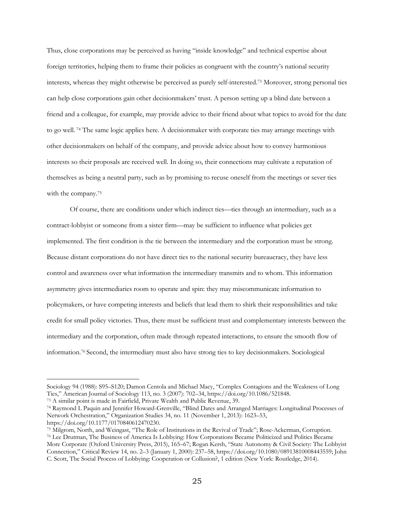Thus, close corporations may be perceived as having "inside knowledge" and technical expertise about foreign territories, helping them to frame their policies as congruent with the country's national security interests, whereas they might otherwise be perceived as purely self-interested. <sup>73</sup> Moreover, strong personal ties can help close corporations gain other decisionmakers' trust. A person setting up a blind date between a friend and a colleague, for example, may provide advice to their friend about what topics to avoid for the date to go well. <sup>74</sup> The same logic applies here. A decisionmaker with corporate ties may arrange meetings with other decisionmakers on behalf of the company, and provide advice about how to convey harmonious interests so their proposals are received well. In doing so, their connections may cultivate a reputation of themselves as being a neutral party, such as by promising to recuse oneself from the meetings or sever ties with the company.75

Of course, there are conditions under which indirect ties—ties through an intermediary, such as a contract-lobbyist or someone from a sister firm—may be sufficient to influence what policies get implemented. The first condition is the tie between the intermediary and the corporation must be strong. Because distant corporations do not have direct ties to the national security bureaucracy, they have less control and awareness over what information the intermediary transmits and to whom. This information asymmetry gives intermediaries room to operate and spin: they may miscommunicate information to policymakers, or have competing interests and beliefs that lead them to shirk their responsibilities and take credit for small policy victories. Thus, there must be sufficient trust and complementary interests between the intermediary and the corporation, often made through repeated interactions, to ensure the smooth flow of information.76 Second, the intermediary must also have strong ties to key decisionmakers. Sociological

Sociology 94 (1988): S95–S120; Damon Centola and Michael Macy, "Complex Contagions and the Weakness of Long Ties," American Journal of Sociology 113, no. 3 (2007): 702–34, https://doi.org/10.1086/521848.

<sup>73</sup> A similar point is made in Fairfield, Private Wealth and Public Revenue, 39.

<sup>74</sup> Raymond L Paquin and Jennifer Howard-Grenville, "Blind Dates and Arranged Marriages: Longitudinal Processes of Network Orchestration," Organization Studies 34, no. 11 (November 1, 2013): 1623–53, https://doi.org/10.1177/0170840612470230.

<sup>75</sup> Milgrom, North, and Weingast, "The Role of Institutions in the Revival of Trade"; Rose-Ackerman, Corruption.

<sup>76</sup> Lee Drutman, The Business of America Is Lobbying: How Corporations Became Politicized and Politics Became More Corporate (Oxford University Press, 2015), 165–67; Rogan Kersh, "State Autonomy & Civil Society: The Lobbyist Connection," Critical Review 14, no. 2–3 (January 1, 2000): 237–58, https://doi.org/10.1080/08913810008443559; John C. Scott, The Social Process of Lobbying: Cooperation or Collusion?, 1 edition (New York: Routledge, 2014).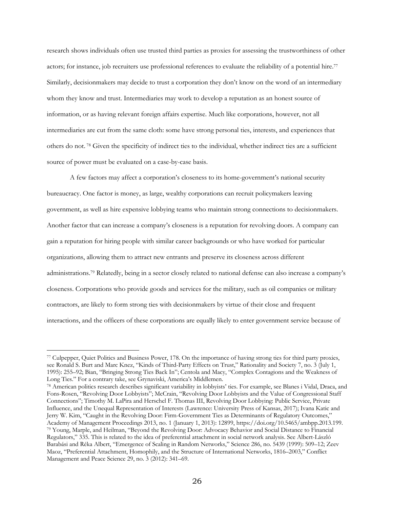research shows individuals often use trusted third parties as proxies for assessing the trustworthiness of other actors; for instance, job recruiters use professional references to evaluate the reliability of a potential hire.77 Similarly, decisionmakers may decide to trust a corporation they don't know on the word of an intermediary whom they know and trust. Intermediaries may work to develop a reputation as an honest source of information, or as having relevant foreign affairs expertise. Much like corporations, however, not all intermediaries are cut from the same cloth: some have strong personal ties, interests, and experiences that others do not. <sup>78</sup> Given the specificity of indirect ties to the individual, whether indirect ties are a sufficient source of power must be evaluated on a case-by-case basis.

A few factors may affect a corporation's closeness to its home-government's national security bureaucracy. One factor is money, as large, wealthy corporations can recruit policymakers leaving government, as well as hire expensive lobbying teams who maintain strong connections to decisionmakers. Another factor that can increase a company's closeness is a reputation for revolving doors. A company can gain a reputation for hiring people with similar career backgrounds or who have worked for particular organizations, allowing them to attract new entrants and preserve its closeness across different administrations.79 Relatedly, being in a sector closely related to national defense can also increase a company's closeness. Corporations who provide goods and services for the military, such as oil companies or military contractors, are likely to form strong ties with decisionmakers by virtue of their close and frequent interactions, and the officers of these corporations are equally likely to enter government service because of

<sup>77</sup> Culpepper, Quiet Politics and Business Power, 178. On the importance of having strong ties for third party proxies, see Ronald S. Burt and Marc Knez, "Kinds of Third-Party Effects on Trust," Rationality and Society 7, no. 3 (July 1, 1995): 255–92; Bian, "Bringing Strong Ties Back In"; Centola and Macy, "Complex Contagions and the Weakness of Long Ties." For a contrary take, see Grynaviski, America's Middlemen.

<sup>78</sup> American politics research describes significant variability in lobbyists' ties. For example, see Blanes i Vidal, Draca, and Fons-Rosen, "Revolving Door Lobbyists"; McCrain, "Revolving Door Lobbyists and the Value of Congressional Staff Connections"; Timothy M. LaPira and Herschel F. Thomas III, Revolving Door Lobbying: Public Service, Private Influence, and the Unequal Representation of Interests (Lawrence: University Press of Kansas, 2017); Ivana Katic and Jerry W. Kim, "Caught in the Revolving Door: Firm-Government Ties as Determinants of Regulatory Outcomes," Academy of Management Proceedings 2013, no. 1 (January 1, 2013): 12899, https://doi.org/10.5465/ambpp.2013.199. <sup>79</sup> Young, Marple, and Heilman, "Beyond the Revolving Door: Advocacy Behavior and Social Distance to Financial Regulators," 335. This is related to the idea of preferential attachment in social network analysis. See Albert-László Barabási and Réka Albert, "Emergence of Scaling in Random Networks," Science 286, no. 5439 (1999): 509–12; Zeev Maoz, "Preferential Attachment, Homophily, and the Structure of International Networks, 1816–2003," Conflict Management and Peace Science 29, no. 3 (2012): 341–69.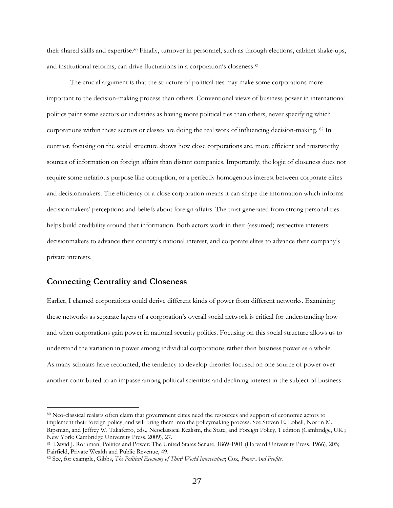their shared skills and expertise.80 Finally, turnover in personnel, such as through elections, cabinet shake-ups, and institutional reforms, can drive fluctuations in a corporation's closeness.81

The crucial argument is that the structure of political ties may make some corporations more important to the decision-making process than others. Conventional views of business power in international politics paint some sectors or industries as having more political ties than others, never specifying which corporations within these sectors or classes are doing the real work of influencing decision-making. 82 In contrast, focusing on the social structure shows how close corporations are. more efficient and trustworthy sources of information on foreign affairs than distant companies. Importantly, the logic of closeness does not require some nefarious purpose like corruption, or a perfectly homogenous interest between corporate elites and decisionmakers. The efficiency of a close corporation means it can shape the information which informs decisionmakers' perceptions and beliefs about foreign affairs. The trust generated from strong personal ties helps build credibility around that information. Both actors work in their (assumed) respective interests: decisionmakers to advance their country's national interest, and corporate elites to advance their company's private interests.

# **Connecting Centrality and Closeness**

Earlier, I claimed corporations could derive different kinds of power from different networks. Examining these networks as separate layers of a corporation's overall social network is critical for understanding how and when corporations gain power in national security politics. Focusing on this social structure allows us to understand the variation in power among individual corporations rather than business power as a whole. As many scholars have recounted, the tendency to develop theories focused on one source of power over another contributed to an impasse among political scientists and declining interest in the subject of business

<sup>80</sup> Neo-classical realists often claim that government elites need the resources and support of economic actors to implement their foreign policy, and will bring them into the policymaking process. See Steven E. Lobell, Norrin M. Ripsman, and Jeffrey W. Taliaferro, eds., Neoclassical Realism, the State, and Foreign Policy, 1 edition (Cambridge, UK ; New York: Cambridge University Press, 2009), 27.

<sup>81</sup> David J. Rothman, Politics and Power: The United States Senate, 1869-1901 (Harvard University Press, 1966), 205; Fairfield, Private Wealth and Public Revenue, 49.

<sup>82</sup> See, for example, Gibbs, *The Political Economy of Third World Intervention*; Cox, *Power And Profits*.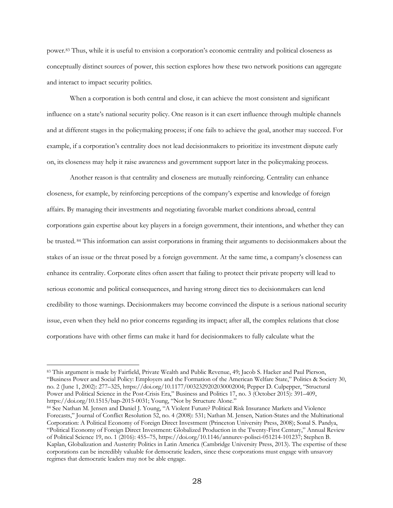power.83 Thus, while it is useful to envision a corporation's economic centrality and political closeness as conceptually distinct sources of power, this section explores how these two network positions can aggregate and interact to impact security politics.

When a corporation is both central and close, it can achieve the most consistent and significant influence on a state's national security policy. One reason is it can exert influence through multiple channels and at different stages in the policymaking process; if one fails to achieve the goal, another may succeed. For example, if a corporation's centrality does not lead decisionmakers to prioritize its investment dispute early on, its closeness may help it raise awareness and government support later in the policymaking process.

Another reason is that centrality and closeness are mutually reinforcing. Centrality can enhance closeness, for example, by reinforcing perceptions of the company's expertise and knowledge of foreign affairs. By managing their investments and negotiating favorable market conditions abroad, central corporations gain expertise about key players in a foreign government, their intentions, and whether they can be trusted. <sup>84</sup> This information can assist corporations in framing their arguments to decisionmakers about the stakes of an issue or the threat posed by a foreign government. At the same time, a company's closeness can enhance its centrality. Corporate elites often assert that failing to protect their private property will lead to serious economic and political consequences, and having strong direct ties to decisionmakers can lend credibility to those warnings. Decisionmakers may become convinced the dispute is a serious national security issue, even when they held no prior concerns regarding its impact; after all, the complex relations that close corporations have with other firms can make it hard for decisionmakers to fully calculate what the

<sup>83</sup> This argument is made by Fairfield, Private Wealth and Public Revenue, 49; Jacob S. Hacker and Paul Pierson, "Business Power and Social Policy: Employers and the Formation of the American Welfare State," Politics & Society 30, no. 2 (June 1, 2002): 277–325, https://doi.org/10.1177/0032329202030002004; Pepper D. Culpepper, "Structural Power and Political Science in the Post-Crisis Era," Business and Politics 17, no. 3 (October 2015): 391–409, https://doi.org/10.1515/bap-2015-0031; Young, "Not by Structure Alone."

<sup>84</sup> See Nathan M. Jensen and Daniel J. Young, "A Violent Future? Political Risk Insurance Markets and Violence Forecasts," Journal of Conflict Resolution 52, no. 4 (2008): 531; Nathan M. Jensen, Nation-States and the Multinational Corporation: A Political Economy of Foreign Direct Investment (Princeton University Press, 2008); Sonal S. Pandya, "Political Economy of Foreign Direct Investment: Globalized Production in the Twenty-First Century," Annual Review of Political Science 19, no. 1 (2016): 455–75, https://doi.org/10.1146/annurev-polisci-051214-101237; Stephen B. Kaplan, Globalization and Austerity Politics in Latin America (Cambridge University Press, 2013). The expertise of these corporations can be incredibly valuable for democratic leaders, since these corporations must engage with unsavory regimes that democratic leaders may not be able engage.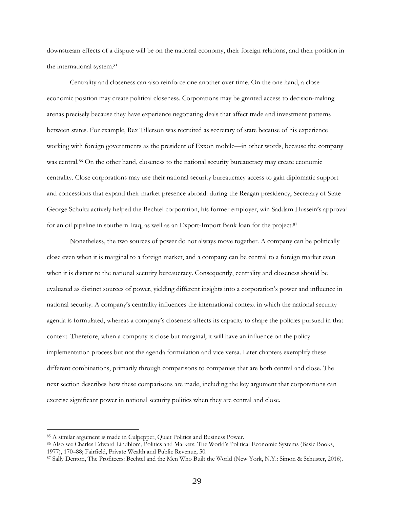downstream effects of a dispute will be on the national economy, their foreign relations, and their position in the international system.85

Centrality and closeness can also reinforce one another over time. On the one hand, a close economic position may create political closeness. Corporations may be granted access to decision-making arenas precisely because they have experience negotiating deals that affect trade and investment patterns between states. For example, Rex Tillerson was recruited as secretary of state because of his experience working with foreign governments as the president of Exxon mobile—in other words, because the company was central.<sup>86</sup> On the other hand, closeness to the national security bureaucracy may create economic centrality. Close corporations may use their national security bureaucracy access to gain diplomatic support and concessions that expand their market presence abroad: during the Reagan presidency, Secretary of State George Schultz actively helped the Bechtel corporation, his former employer, win Saddam Hussein's approval for an oil pipeline in southern Iraq, as well as an Export-Import Bank loan for the project.87

Nonetheless, the two sources of power do not always move together. A company can be politically close even when it is marginal to a foreign market, and a company can be central to a foreign market even when it is distant to the national security bureaucracy. Consequently, centrality and closeness should be evaluated as distinct sources of power, yielding different insights into a corporation's power and influence in national security. A company's centrality influences the international context in which the national security agenda is formulated, whereas a company's closeness affects its capacity to shape the policies pursued in that context. Therefore, when a company is close but marginal, it will have an influence on the policy implementation process but not the agenda formulation and vice versa. Later chapters exemplify these different combinations, primarily through comparisons to companies that are both central and close. The next section describes how these comparisons are made, including the key argument that corporations can exercise significant power in national security politics when they are central and close.

<sup>85</sup> A similar argument is made in Culpepper, Quiet Politics and Business Power.

<sup>86</sup> Also see Charles Edward Lindblom, Politics and Markets: The World's Political Economic Systems (Basic Books, 1977), 170–88; Fairfield, Private Wealth and Public Revenue, 50.

<sup>87</sup> Sally Denton, The Profiteers: Bechtel and the Men Who Built the World (New York, N.Y.: Simon & Schuster, 2016).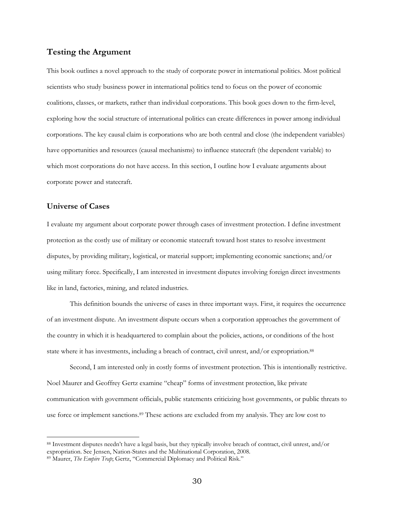# **Testing the Argument**

This book outlines a novel approach to the study of corporate power in international politics. Most political scientists who study business power in international politics tend to focus on the power of economic coalitions, classes, or markets, rather than individual corporations. This book goes down to the firm-level, exploring how the social structure of international politics can create differences in power among individual corporations. The key causal claim is corporations who are both central and close (the independent variables) have opportunities and resources (causal mechanisms) to influence statecraft (the dependent variable) to which most corporations do not have access. In this section, I outline how I evaluate arguments about corporate power and statecraft.

# **Universe of Cases**

I evaluate my argument about corporate power through cases of investment protection. I define investment protection as the costly use of military or economic statecraft toward host states to resolve investment disputes, by providing military, logistical, or material support; implementing economic sanctions; and/or using military force. Specifically, I am interested in investment disputes involving foreign direct investments like in land, factories, mining, and related industries.

This definition bounds the universe of cases in three important ways. First, it requires the occurrence of an investment dispute. An investment dispute occurs when a corporation approaches the government of the country in which it is headquartered to complain about the policies, actions, or conditions of the host state where it has investments, including a breach of contract, civil unrest, and/or expropriation.88

Second, I am interested only in costly forms of investment protection. This is intentionally restrictive. Noel Maurer and Geoffrey Gertz examine "cheap" forms of investment protection, like private communication with government officials, public statements criticizing host governments, or public threats to use force or implement sanctions.<sup>89</sup> These actions are excluded from my analysis. They are low cost to

<sup>88</sup> Investment disputes needn't have a legal basis, but they typically involve breach of contract, civil unrest, and/or expropriation. See Jensen, Nation-States and the Multinational Corporation, 2008.

<sup>89</sup> Maurer, *The Empire Trap*; Gertz, "Commercial Diplomacy and Political Risk."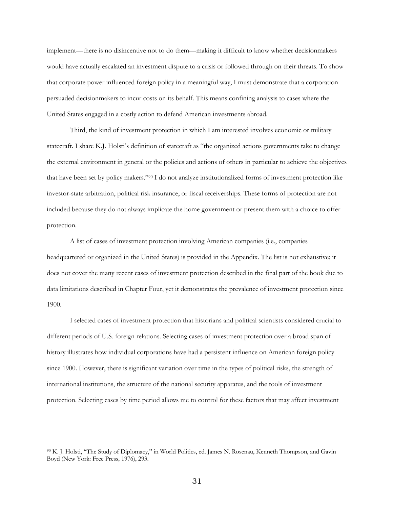implement—there is no disincentive not to do them—making it difficult to know whether decisionmakers would have actually escalated an investment dispute to a crisis or followed through on their threats. To show that corporate power influenced foreign policy in a meaningful way, I must demonstrate that a corporation persuaded decisionmakers to incur costs on its behalf. This means confining analysis to cases where the United States engaged in a costly action to defend American investments abroad.

Third, the kind of investment protection in which I am interested involves economic or military statecraft. I share K.J. Holsti's definition of statecraft as "the organized actions governments take to change the external environment in general or the policies and actions of others in particular to achieve the objectives that have been set by policy makers."90 I do not analyze institutionalized forms of investment protection like investor-state arbitration, political risk insurance, or fiscal receiverships. These forms of protection are not included because they do not always implicate the home government or present them with a choice to offer protection.

A list of cases of investment protection involving American companies (i.e., companies headquartered or organized in the United States) is provided in the Appendix. The list is not exhaustive; it does not cover the many recent cases of investment protection described in the final part of the book due to data limitations described in Chapter Four, yet it demonstrates the prevalence of investment protection since 1900.

I selected cases of investment protection that historians and political scientists considered crucial to different periods of U.S. foreign relations. Selecting cases of investment protection over a broad span of history illustrates how individual corporations have had a persistent influence on American foreign policy since 1900. However, there is significant variation over time in the types of political risks, the strength of international institutions, the structure of the national security apparatus, and the tools of investment protection. Selecting cases by time period allows me to control for these factors that may affect investment

<sup>90</sup> K. J. Holsti, "The Study of Diplomacy," in World Politics, ed. James N. Rosenau, Kenneth Thompson, and Gavin Boyd (New York: Free Press, 1976), 293.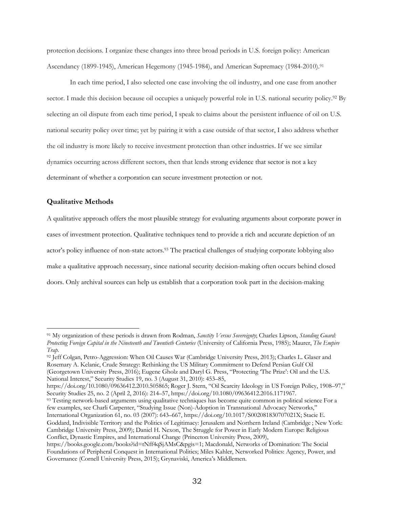protection decisions. I organize these changes into three broad periods in U.S. foreign policy: American Ascendancy (1899-1945), American Hegemony (1945-1984), and American Supremacy (1984-2010).<sup>91</sup>

In each time period, I also selected one case involving the oil industry, and one case from another sector. I made this decision because oil occupies a uniquely powerful role in U.S. national security policy.<sup>92</sup> By selecting an oil dispute from each time period, I speak to claims about the persistent influence of oil on U.S. national security policy over time; yet by pairing it with a case outside of that sector, I also address whether the oil industry is more likely to receive investment protection than other industries. If we see similar dynamics occurring across different sectors, then that lends strong evidence that sector is not a key determinant of whether a corporation can secure investment protection or not.

#### **Qualitative Methods**

A qualitative approach offers the most plausible strategy for evaluating arguments about corporate power in cases of investment protection. Qualitative techniques tend to provide a rich and accurate depiction of an actor's policy influence of non-state actors.<sup>93</sup> The practical challenges of studying corporate lobbying also make a qualitative approach necessary, since national security decision-making often occurs behind closed doors. Only archival sources can help us establish that a corporation took part in the decision-making

93 Testing network-based arguments using qualitative techniques has become quite common in political science For a few examples, see Charli Carpenter, "Studying Issue (Non)-Adoption in Transnational Advocacy Networks," International Organization 61, no. 03 (2007): 643–667, https://doi.org/10.1017/S002081830707021X; Stacie E.

<sup>91</sup> My organization of these periods is drawn from Rodman, *Sanctity Versus Sovereignty*; Charles Lipson, *Standing Guard: Protecting Foreign Capital in the Nineteenth and Twentieth Centuries* (University of California Press, 1985); Maurer, *The Empire Trap*.

<sup>92</sup> Jeff Colgan, Petro-Aggression: When Oil Causes War (Cambridge University Press, 2013); Charles L. Glaser and Rosemary A. Kelanic, Crude Strategy: Rethinking the US Military Commitment to Defend Persian Gulf Oil (Georgetown University Press, 2016); Eugene Gholz and Daryl G. Press, "Protecting 'The Prize': Oil and the U.S. National Interest," Security Studies 19, no. 3 (August 31, 2010): 453–85,

https://doi.org/10.1080/09636412.2010.505865; Roger J. Stern, "Oil Scarcity Ideology in US Foreign Policy, 1908–97," Security Studies 25, no. 2 (April 2, 2016): 214–57, https://doi.org/10.1080/09636412.2016.1171967.

Goddard, Indivisible Territory and the Politics of Legitimacy: Jerusalem and Northern Ireland (Cambridge ; New York: Cambridge University Press, 2009); Daniel H. Nexon, The Struggle for Power in Early Modern Europe: Religious Conflict, Dynastic Empires, and International Change (Princeton University Press, 2009),

https://books.google.com/books?id=tNff4qSjAMsC&pgis=1; Macdonald, Networks of Domination: The Social Foundations of Peripheral Conquest in International Politics; Miles Kahler, Networked Politics: Agency, Power, and Governance (Cornell University Press, 2015); Grynaviski, America's Middlemen.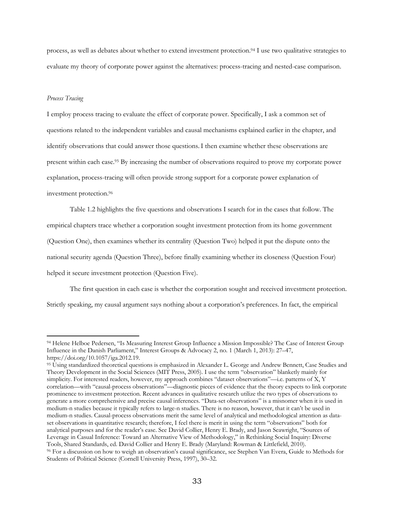process, as well as debates about whether to extend investment protection.94 I use two qualitative strategies to evaluate my theory of corporate power against the alternatives: process-tracing and nested-case comparison.

#### *Process Tracing*

I employ process tracing to evaluate the effect of corporate power. Specifically, I ask a common set of questions related to the independent variables and causal mechanisms explained earlier in the chapter, and identify observations that could answer those questions.I then examine whether these observations are present within each case.95 By increasing the number of observations required to prove my corporate power explanation, process-tracing will often provide strong support for a corporate power explanation of investment protection.96

Table 1.2 highlights the five questions and observations I search for in the cases that follow. The empirical chapters trace whether a corporation sought investment protection from its home government (Question One), then examines whether its centrality (Question Two) helped it put the dispute onto the national security agenda (Question Three), before finally examining whether its closeness (Question Four) helped it secure investment protection (Question Five).

The first question in each case is whether the corporation sought and received investment protection. Strictly speaking, my causal argument says nothing about a corporation's preferences. In fact, the empirical

<sup>94</sup> Helene Helboe Pedersen, "Is Measuring Interest Group Influence a Mission Impossible? The Case of Interest Group Influence in the Danish Parliament," Interest Groups & Advocacy 2, no. 1 (March 1, 2013): 27–47, https://doi.org/10.1057/iga.2012.19.

<sup>95</sup> Using standardized theoretical questions is emphasized in Alexander L. George and Andrew Bennett, Case Studies and Theory Development in the Social Sciences (MIT Press, 2005). I use the term "observation" blanketly mainly for simplicity. For interested readers, however, my approach combines "dataset observations"—i.e. patterns of X, Y correlation—with "causal-process observations"—diagnostic pieces of evidence that the theory expects to link corporate prominence to investment protection. Recent advances in qualitative research utilize the two types of observations to generate a more comprehensive and precise causal inferences. "Data-set observations" is a misnomer when it is used in medium-n studies because it typically refers to large-n studies. There is no reason, however, that it can't be used in medium-n studies. Causal-process observations merit the same level of analytical and methodological attention as dataset observations in quantitative research; therefore, I feel there is merit in using the term "observations" both for analytical purposes and for the reader's ease. See David Collier, Henry E. Brady, and Jason Seawright, "Sources of Leverage in Casual Inference: Toward an Alternative View of Methodology," in Rethinking Social Inquiry: Diverse Tools, Shared Standards, ed. David Collier and Henry E. Brady (Maryland: Rowman & Littlefield, 2010). <sup>96</sup> For a discussion on how to weigh an observation's causal significance, see Stephen Van Evera, Guide to Methods for Students of Political Science (Cornell University Press, 1997), 30–32.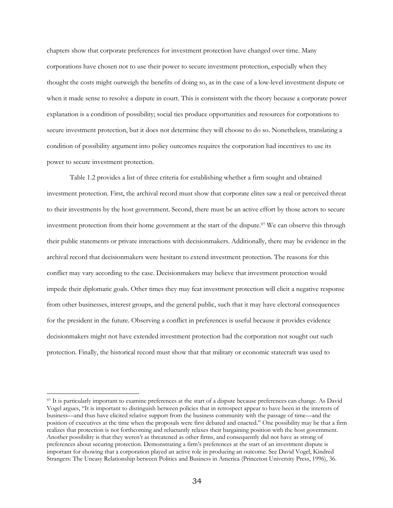chapters show that corporate preferences for investment protection have changed over time. Many corporations have chosen not to use their power to secure investment protection, especially when they thought the costs might outweigh the benefits of doing so, as in the case of a low-level investment dispute or when it made sense to resolve a dispute in court. This is consistent with the theory because a corporate power explanation is a condition of possibility; social ties produce opportunities and resources for corporations to secure investment protection, but it does not determine they will choose to do so. Nonetheless, translating a condition of possibility argument into policy outcomes requires the corporation had incentives to use its power to secure investment protection.

Table 1.2 provides a list of three criteria for establishing whether a firm sought and obtained investment protection. First, the archival record must show that corporate elites saw a real or perceived threat to their investments by the host government. Second, there must be an active effort by those actors to secure investment protection from their home government at the start of the dispute.97 We can observe this through their public statements or private interactions with decisionmakers. Additionally, there may be evidence in the archival record that decisionmakers were hesitant to extend investment protection. The reasons for this conflict may vary according to the case. Decisionmakers may believe that investment protection would impede their diplomatic goals. Other times they may feat investment protection will elicit a negative response from other businesses, interest groups, and the general public, such that it may have electoral consequences for the president in the future. Observing a conflict in preferences is useful because it provides evidence decisionmakers might not have extended investment protection had the corporation not sought out such protection. Finally, the historical record must show that that military or economic statecraft was used to

<sup>97</sup> It is particularly important to examine preferences at the start of a dispute because preferences can change. As David Vogel argues, "It is important to distinguish between policies that in retrospect appear to have been in the interests of business—and thus have elicited relative support from the business community with the passage of time—and the position of executives at the time when the proposals were first debated and enacted." One possibility may be that a firm realizes that protection is not forthcoming and reluctantly relaxes their bargaining position with the host government. Another possibility is that they weren't as threatened as other firms, and consequently did not have as strong of preferences about securing protection. Demonstrating a firm's preferences at the start of an investment dispute is important for showing that a corporation played an active role in producing an outcome. See David Vogel, Kindred Strangers: The Uneasy Relationship between Politics and Business in America (Princeton University Press, 1996), 36.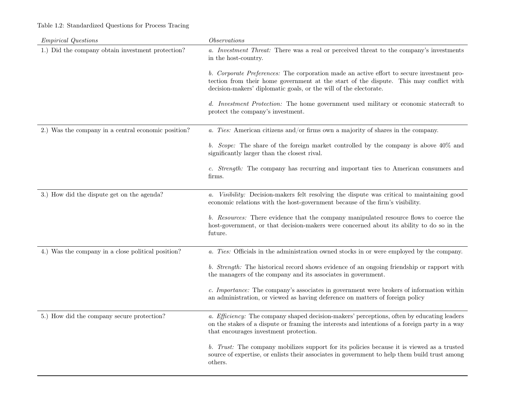# Table 1.2: Standardized Questions for Process Tracing

| <i>Empirical Questions</i>                          | <i>Observations</i>                                                                                                                                                                                                                                      |  |  |  |
|-----------------------------------------------------|----------------------------------------------------------------------------------------------------------------------------------------------------------------------------------------------------------------------------------------------------------|--|--|--|
| 1.) Did the company obtain investment protection?   | a. Investment Threat: There was a real or perceived threat to the company's investments<br>in the host-country.                                                                                                                                          |  |  |  |
|                                                     | b. Corporate Preferences: The corporation made an active effort to secure investment pro-<br>tection from their home government at the start of the dispute. This may conflict with<br>decision-makers' diplomatic goals, or the will of the electorate. |  |  |  |
|                                                     | d. Investment Protection: The home government used military or economic statecraft to<br>protect the company's investment.                                                                                                                               |  |  |  |
| 2.) Was the company in a central economic position? | a. Ties: American citizens and/or firms own a majority of shares in the company.                                                                                                                                                                         |  |  |  |
|                                                     | b. Scope: The share of the foreign market controlled by the company is above 40% and<br>significantly larger than the closest rival.                                                                                                                     |  |  |  |
|                                                     | c. Strength: The company has recurring and important ties to American consumers and<br>firms.                                                                                                                                                            |  |  |  |
| 3.) How did the dispute get on the agenda?          | a. Visibility: Decision-makers felt resolving the dispute was critical to maintaining good<br>economic relations with the host-government because of the firm's visibility.                                                                              |  |  |  |
|                                                     | b. Resources: There evidence that the company manipulated resource flows to coerce the<br>host-government, or that decision-makers were concerned about its ability to do so in the<br>future.                                                           |  |  |  |
| 4.) Was the company in a close political position?  | a. Ties: Officials in the administration owned stocks in or were employed by the company.                                                                                                                                                                |  |  |  |
|                                                     | b. Strength: The historical record shows evidence of an ongoing friendship or rapport with<br>the managers of the company and its associates in government.                                                                                              |  |  |  |
|                                                     | c. Importance: The company's associates in government were brokers of information within<br>an administration, or viewed as having deference on matters of foreign policy                                                                                |  |  |  |
| 5.) How did the company secure protection?          | a. Efficiency: The company shaped decision-makers' perceptions, often by educating leaders<br>on the stakes of a dispute or framing the interests and intentions of a foreign party in a way<br>that encourages investment protection.                   |  |  |  |
|                                                     | b. Trust: The company mobilizes support for its policies because it is viewed as a trusted<br>source of expertise, or enlists their associates in government to help them build trust among<br>others.                                                   |  |  |  |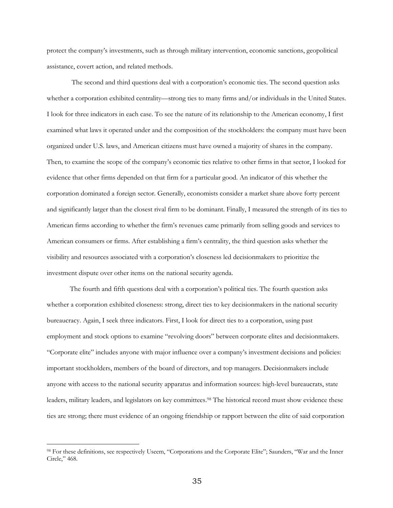protect the company's investments, such as through military intervention, economic sanctions, geopolitical assistance, covert action, and related methods.

The second and third questions deal with a corporation's economic ties. The second question asks whether a corporation exhibited centrality—strong ties to many firms and/or individuals in the United States. I look for three indicators in each case. To see the nature of its relationship to the American economy, I first examined what laws it operated under and the composition of the stockholders: the company must have been organized under U.S. laws, and American citizens must have owned a majority of shares in the company. Then, to examine the scope of the company's economic ties relative to other firms in that sector, I looked for evidence that other firms depended on that firm for a particular good. An indicator of this whether the corporation dominated a foreign sector. Generally, economists consider a market share above forty percent and significantly larger than the closest rival firm to be dominant. Finally, I measured the strength of its ties to American firms according to whether the firm's revenues came primarily from selling goods and services to American consumers or firms. After establishing a firm's centrality, the third question asks whether the visibility and resources associated with a corporation's closeness led decisionmakers to prioritize the investment dispute over other items on the national security agenda.

The fourth and fifth questions deal with a corporation's political ties. The fourth question asks whether a corporation exhibited closeness: strong, direct ties to key decisionmakers in the national security bureaucracy. Again, I seek three indicators. First, I look for direct ties to a corporation, using past employment and stock options to examine "revolving doors" between corporate elites and decisionmakers. "Corporate elite" includes anyone with major influence over a company's investment decisions and policies: important stockholders, members of the board of directors, and top managers. Decisionmakers include anyone with access to the national security apparatus and information sources: high-level bureaucrats, state leaders, military leaders, and legislators on key committees.98 The historical record must show evidence these ties are strong; there must evidence of an ongoing friendship or rapport between the elite of said corporation

<sup>98</sup> For these definitions, see respectively Useem, "Corporations and the Corporate Elite"; Saunders, "War and the Inner Circle," 468.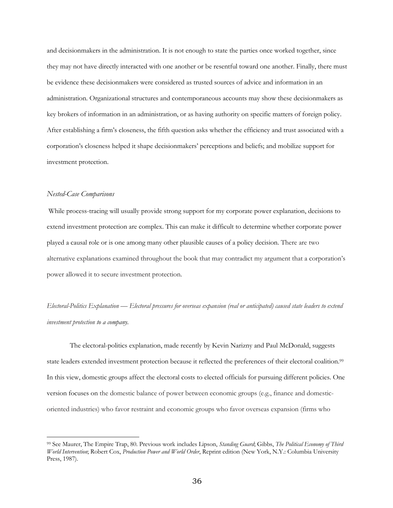and decisionmakers in the administration. It is not enough to state the parties once worked together, since they may not have directly interacted with one another or be resentful toward one another. Finally, there must be evidence these decisionmakers were considered as trusted sources of advice and information in an administration. Organizational structures and contemporaneous accounts may show these decisionmakers as key brokers of information in an administration, or as having authority on specific matters of foreign policy. After establishing a firm's closeness, the fifth question asks whether the efficiency and trust associated with a corporation's closeness helped it shape decisionmakers' perceptions and beliefs; and mobilize support for investment protection.

#### *Nested-Case Comparisons*

While process-tracing will usually provide strong support for my corporate power explanation, decisions to extend investment protection are complex. This can make it difficult to determine whether corporate power played a causal role or is one among many other plausible causes of a policy decision. There are two alternative explanations examined throughout the book that may contradict my argument that a corporation's power allowed it to secure investment protection.

# *Electoral-Politics Explanation — Electoral pressures for overseas expansion (real or anticipated) caused state leaders to extend investment protection to a company.*

The electoral-politics explanation, made recently by Kevin Narizny and Paul McDonald, suggests state leaders extended investment protection because it reflected the preferences of their electoral coalition.99 In this view, domestic groups affect the electoral costs to elected officials for pursuing different policies. One version focuses on the domestic balance of power between economic groups (e.g., finance and domesticoriented industries) who favor restraint and economic groups who favor overseas expansion (firms who

<sup>99</sup> See Maurer, The Empire Trap, 80. Previous work includes Lipson, *Standing Guard*; Gibbs, *The Political Economy of Third World Intervention*; Robert Cox, *Production Power and World Order*, Reprint edition (New York, N.Y.: Columbia University Press, 1987).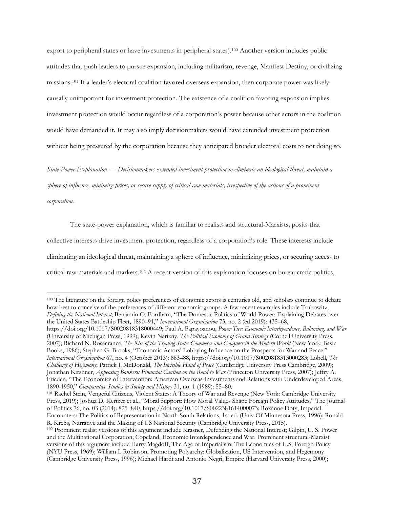export to peripheral states or have investments in peripheral states).100 Another version includes public attitudes that push leaders to pursue expansion, including militarism, revenge, Manifest Destiny, or civilizing missions.101 If a leader's electoral coalition favored overseas expansion, then corporate power was likely causally unimportant for investment protection. The existence of a coalition favoring expansion implies investment protection would occur regardless of a corporation's power because other actors in the coalition would have demanded it. It may also imply decisionmakers would have extended investment protection without being pressured by the corporation because they anticipated broader electoral costs to not doing so.

*State-Power Explanation — Decisionmakers extended investment protection to eliminate an ideological threat, maintain a sphere of influence, minimize prices, or secure supply of critical raw materials, irrespective of the actions of a prominent corporation.* 

The state-power explanation, which is familiar to realists and structural-Marxists, posits that collective interests drive investment protection, regardless of a corporation's role. These interests include eliminating an ideological threat, maintaining a sphere of influence, minimizing prices, or securing access to critical raw materials and markets.102 A recent version of this explanation focuses on bureaucratic politics,

https://doi.org/10.1017/S0020818318000449; Paul A. Papayoanou, *Power Ties: Economic Interdependence, Balancing, and War* (University of Michigan Press, 1999); Kevin Narizny, *The Political Economy of Grand Strategy* (Cornell University Press, 2007); Richard N. Rosecrance, *The Rise of the Trading State: Commerce and Conquest in the Modern World* (New York: Basic Books, 1986); Stephen G. Brooks, "Economic Actors' Lobbying Influence on the Prospects for War and Peace," *International Organization* 67, no. 4 (October 2013): 863–88, https://doi.org/10.1017/S0020818313000283; Lobell, *The Challenge of Hegemony*; Patrick J. McDonald, *The Invisible Hand of Peace* (Cambridge University Press Cambridge, 2009); Jonathan Kirshner, *Appeasing Bankers: Financial Caution on the Road to War* (Princeton University Press, 2007); Jeffry A. Frieden, "The Economics of Intervention: American Overseas Investments and Relations with Underdeveloped Areas, 1890-1950," *Comparative Studies in Society and History* 31, no. 1 (1989): 55–80.

<sup>101</sup> Rachel Stein, Vengeful Citizens, Violent States: A Theory of War and Revenge (New York: Cambridge University Press, 2019); Joshua D. Kertzer et al., "Moral Support: How Moral Values Shape Foreign Policy Attitudes," The Journal of Politics 76, no. 03 (2014): 825–840, https://doi.org/10.1017/S0022381614000073; Roxanne Doty, Imperial Encounters: The Politics of Representation in North-South Relations, 1st ed. (Univ Of Minnesota Press, 1996); Ronald R. Krebs, Narrative and the Making of US National Security (Cambridge University Press, 2015).

<sup>&</sup>lt;sup>100</sup> The literature on the foreign policy preferences of economic actors is centuries old, and scholars continue to debate how best to conceive of the preferences of different economic groups. A few recent examples include Trubowitz, *Defining the National Interest*; Benjamin O. Fordham, "The Domestic Politics of World Power: Explaining Debates over the United States Battleship Fleet, 1890–91," *International Organization* 73, no. 2 (ed 2019): 435–68,

<sup>102</sup> Prominent realist versions of this argument include Krasner, Defending the National Interest; Gilpin, U. S. Power and the Multinational Corporation; Copeland, Economic Interdependence and War. Prominent structural-Marxist versions of this argument include Harry Magdoff, The Age of Imperialism: The Economics of U.S. Foreign Policy (NYU Press, 1969); William I. Robinson, Promoting Polyarchy: Globalization, US Intervention, and Hegemony (Cambridge University Press, 1996); Michael Hardt and Antonio Negri, Empire (Harvard University Press, 2000);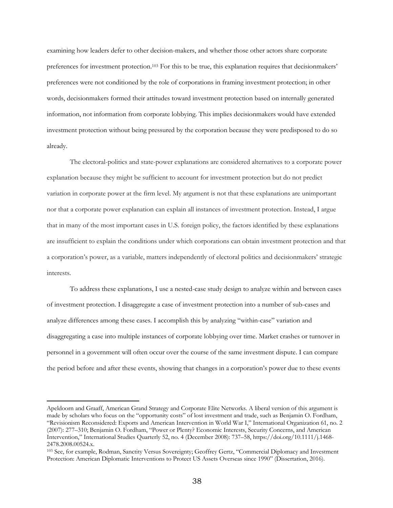examining how leaders defer to other decision-makers, and whether those other actors share corporate preferences for investment protection.103 For this to be true, this explanation requires that decisionmakers' preferences were not conditioned by the role of corporations in framing investment protection; in other words, decisionmakers formed their attitudes toward investment protection based on internally generated information, not information from corporate lobbying. This implies decisionmakers would have extended investment protection without being pressured by the corporation because they were predisposed to do so already.

The electoral-politics and state-power explanations are considered alternatives to a corporate power explanation because they might be sufficient to account for investment protection but do not predict variation in corporate power at the firm level. My argument is not that these explanations are unimportant nor that a corporate power explanation can explain all instances of investment protection. Instead, I argue that in many of the most important cases in U.S. foreign policy, the factors identified by these explanations are insufficient to explain the conditions under which corporations can obtain investment protection and that a corporation's power, as a variable, matters independently of electoral politics and decisionmakers' strategic interests.

To address these explanations, I use a nested-case study design to analyze within and between cases of investment protection. I disaggregate a case of investment protection into a number of sub-cases and analyze differences among these cases. I accomplish this by analyzing "within-case" variation and disaggregating a case into multiple instances of corporate lobbying over time. Market crashes or turnover in personnel in a government will often occur over the course of the same investment dispute. I can compare the period before and after these events, showing that changes in a corporation's power due to these events

Apeldoorn and Graaff, American Grand Strategy and Corporate Elite Networks. A liberal version of this argument is made by scholars who focus on the "opportunity costs" of lost investment and trade, such as Benjamin O. Fordham, "Revisionism Reconsidered: Exports and American Intervention in World War I," International Organization 61, no. 2 (2007): 277–310; Benjamin O. Fordham, "Power or Plenty? Economic Interests, Security Concerns, and American Intervention," International Studies Quarterly 52, no. 4 (December 2008): 737–58, https://doi.org/10.1111/j.1468- 2478.2008.00524.x.

<sup>103</sup> See, for example, Rodman, Sanctity Versus Sovereignty; Geoffrey Gertz, "Commercial Diplomacy and Investment Protection: American Diplomatic Interventions to Protect US Assets Overseas since 1990" (Dissertation, 2016).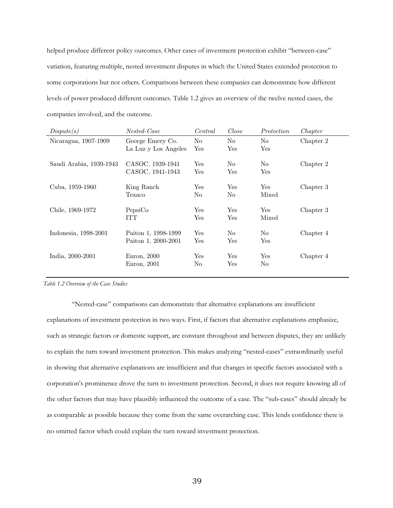helped produce different policy outcomes. Other cases of investment protection exhibit "between-case" variation, featuring multiple, nested investment disputes in which the United States extended protection to some corporations but not others. Comparisons between these companies can demonstrate how different levels of power produced different outcomes. Table 1.2 gives an overview of the twelve nested cases, the companies involved, and the outcome.  $\overline{\mathbf{c}}$ 

| Dispute(s)              | Nested-Case          | Central | Close          | Protection           | Chapter   |
|-------------------------|----------------------|---------|----------------|----------------------|-----------|
| Nicaragua, 1907-1909    | George Emery Co.     | No      | No             | N <sub>o</sub>       | Chapter 2 |
|                         | La Luz y Los Angeles | Yes     | Yes            | Yes                  |           |
| Saudi Arabia, 1939-1943 | CASOC, 1939-1941     | Yes     | No             | No                   | Chapter 2 |
|                         | CASOC, 1941-1943     | Yes     | Yes            | Yes                  |           |
| Cuba, 1959-1960         | King Ranch           | Yes     | Yes            | Yes                  | Chapter 3 |
|                         | Texaco               | No      | N <sub>o</sub> | Mixed                |           |
| Chile, 1969-1972        | PepsiCo              | Yes     | Yes            | Yes                  | Chapter 3 |
|                         | ITT                  | Yes     | Yes            | Mixed                |           |
| Indonesia, 1998-2001    | Paiton 1, 1998-1999  | Yes     | N <sub>o</sub> | No                   | Chapter 4 |
|                         | Paiton 1, 2000-2001  | Yes     | Yes            | $\operatorname{Yes}$ |           |
| India, 2000-2001        | Enron, 2000          | Yes     | Yes            | Yes                  | Chapter 4 |
|                         | Enron, 2001          | No      | Yes            | No                   |           |

*Table 1.2 Overview of the Case Studies*

"Nested-case" comparisons can demonstrate that alternative explanations are insufficient explanations of investment protection in two ways. First, if factors that alternative explanations emphasize, such as strategic factors or domestic support, are constant throughout and between disputes, they are unlikely to explain the turn toward investment protection. This makes analyzing "nested-cases" extraordinarily useful in showing that alternative explanations are insufficient and that changes in specific factors associated with a corporation's prominence drove the turn to investment protection. Second, it does not require knowing all of the other factors that may have plausibly influenced the outcome of a case. The "sub-cases" should already be as comparable as possible because they come from the same overarching case. This lends confidence there is no omitted factor which could explain the turn toward investment protection.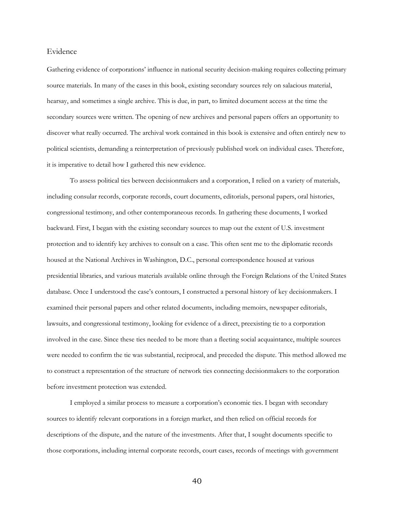### Evidence

Gathering evidence of corporations' influence in national security decision-making requires collecting primary source materials. In many of the cases in this book, existing secondary sources rely on salacious material, hearsay, and sometimes a single archive. This is due, in part, to limited document access at the time the secondary sources were written. The opening of new archives and personal papers offers an opportunity to discover what really occurred. The archival work contained in this book is extensive and often entirely new to political scientists, demanding a reinterpretation of previously published work on individual cases. Therefore, it is imperative to detail how I gathered this new evidence.

To assess political ties between decisionmakers and a corporation, I relied on a variety of materials, including consular records, corporate records, court documents, editorials, personal papers, oral histories, congressional testimony, and other contemporaneous records. In gathering these documents, I worked backward. First, I began with the existing secondary sources to map out the extent of U.S. investment protection and to identify key archives to consult on a case. This often sent me to the diplomatic records housed at the National Archives in Washington, D.C., personal correspondence housed at various presidential libraries, and various materials available online through the Foreign Relations of the United States database. Once I understood the case's contours, I constructed a personal history of key decisionmakers. I examined their personal papers and other related documents, including memoirs, newspaper editorials, lawsuits, and congressional testimony, looking for evidence of a direct, preexisting tie to a corporation involved in the case. Since these ties needed to be more than a fleeting social acquaintance, multiple sources were needed to confirm the tie was substantial, reciprocal, and preceded the dispute. This method allowed me to construct a representation of the structure of network ties connecting decisionmakers to the corporation before investment protection was extended.

I employed a similar process to measure a corporation's economic ties. I began with secondary sources to identify relevant corporations in a foreign market, and then relied on official records for descriptions of the dispute, and the nature of the investments. After that, I sought documents specific to those corporations, including internal corporate records, court cases, records of meetings with government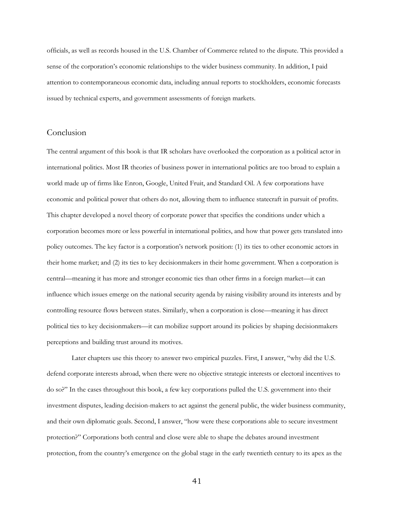officials, as well as records housed in the U.S. Chamber of Commerce related to the dispute. This provided a sense of the corporation's economic relationships to the wider business community. In addition, I paid attention to contemporaneous economic data, including annual reports to stockholders, economic forecasts issued by technical experts, and government assessments of foreign markets.

# Conclusion

The central argument of this book is that IR scholars have overlooked the corporation as a political actor in international politics. Most IR theories of business power in international politics are too broad to explain a world made up of firms like Enron, Google, United Fruit, and Standard Oil. A few corporations have economic and political power that others do not, allowing them to influence statecraft in pursuit of profits. This chapter developed a novel theory of corporate power that specifies the conditions under which a corporation becomes more or less powerful in international politics, and how that power gets translated into policy outcomes. The key factor is a corporation's network position: (1) its ties to other economic actors in their home market; and (2) its ties to key decisionmakers in their home government. When a corporation is central—meaning it has more and stronger economic ties than other firms in a foreign market—it can influence which issues emerge on the national security agenda by raising visibility around its interests and by controlling resource flows between states. Similarly, when a corporation is close—meaning it has direct political ties to key decisionmakers—it can mobilize support around its policies by shaping decisionmakers perceptions and building trust around its motives.

Later chapters use this theory to answer two empirical puzzles. First, I answer, "why did the U.S. defend corporate interests abroad, when there were no objective strategic interests or electoral incentives to do so?" In the cases throughout this book, a few key corporations pulled the U.S. government into their investment disputes, leading decision-makers to act against the general public, the wider business community, and their own diplomatic goals. Second, I answer, "how were these corporations able to secure investment protection?" Corporations both central and close were able to shape the debates around investment protection, from the country's emergence on the global stage in the early twentieth century to its apex as the